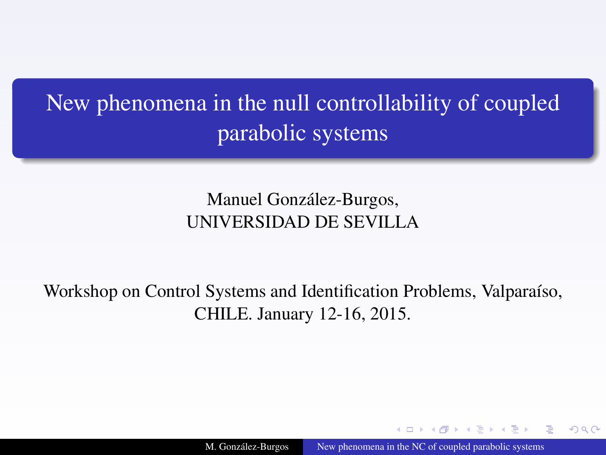# <span id="page-0-0"></span>New phenomena in the null controllability of coupled parabolic systems

Manuel González-Burgos, UNIVERSIDAD DE SEVILLA

Workshop on Control Systems and Identification Problems, Valparaíso, CHILE. January 12-16, 2015.

M. González-Burgos New phenomena in the NC of coupled parabolic systems

つくい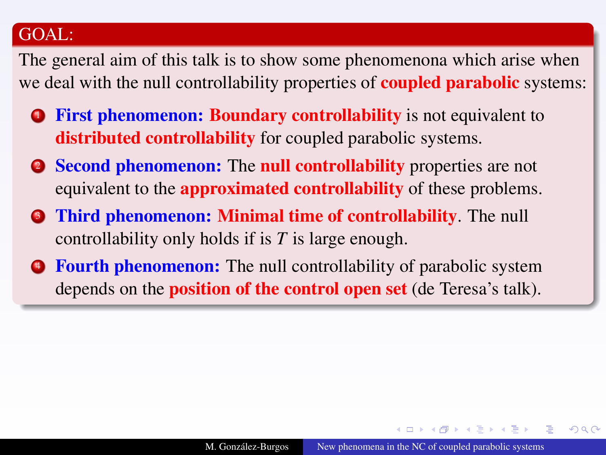### GOAL:

The general aim of this talk is to show some phenomenona which arise when we deal with the null controllability properties of **coupled parabolic** systems:

- **1 First phenomenon: Boundary controllability** is not equivalent to distributed controllability for coupled parabolic systems.
- **2** Second phenomenon: The null controllability properties are not equivalent to the **approximated controllability** of these problems.
- **3** Third phenomenon: Minimal time of controllability. The null controllability only holds if is *T* is large enough.
- **Fourth phenomenon:** The null controllability of parabolic system depends on the position of the control open set (de Teresa's talk).

 $QQ$ 

**NATION**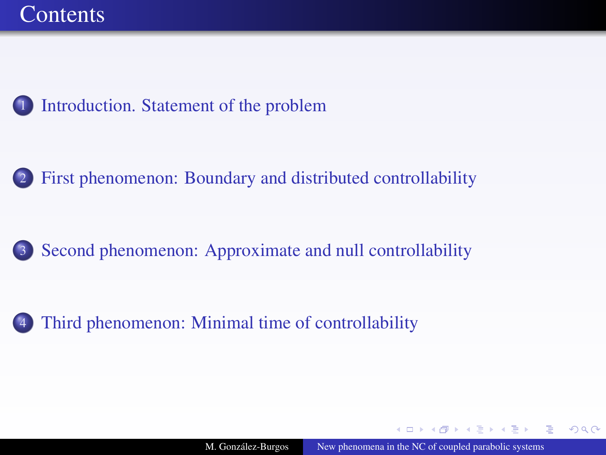<span id="page-2-0"></span>

[First phenomenon: Boundary and distributed controllability](#page-7-0)

3 [Second phenomenon: Approximate and null controllability](#page-24-0)

[Third phenomenon: Minimal time of controllability](#page-29-0)

 $QQ$ 

**NATION**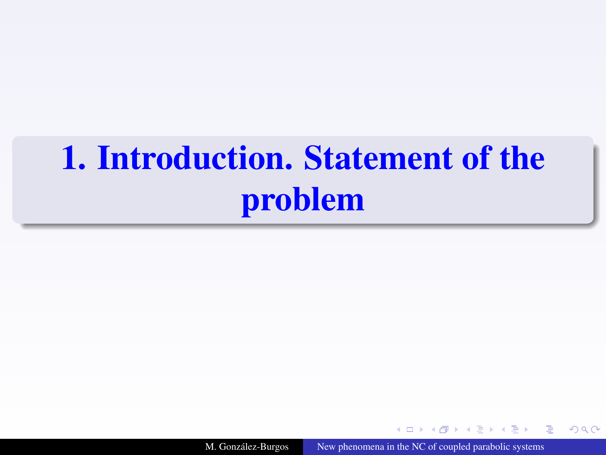# <span id="page-3-1"></span><span id="page-3-0"></span>[1.](#page-3-1) Introduction. Statement of the problem

M. González-Burgos [New phenomena in the NC of coupled parabolic systems](#page-0-0)

4 17 18

**NATION** 

 $2Q$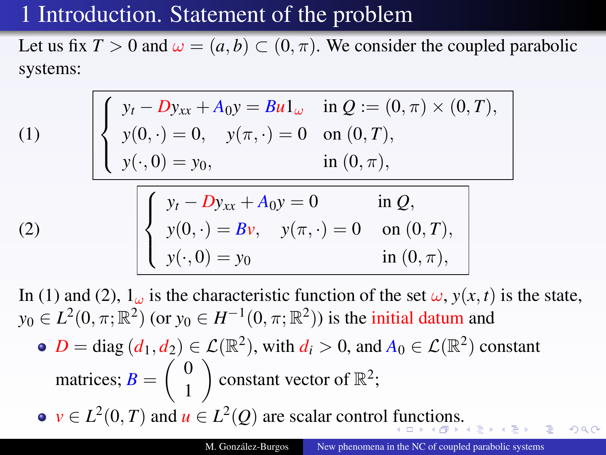# <span id="page-4-0"></span>[1](#page-3-1) Introduction. Statement of the problem

Let us fix  $T > 0$  and  $\omega = (a, b) \subset (0, \pi)$ . We consider the coupled parabolic systems:

<span id="page-4-1"></span>(1)  
\n
$$
\begin{cases}\ny_t - Dy_{xx} + A_0 y = Bu1_\omega & \text{in } Q := (0, \pi) \times (0, T), \\
y(0, \cdot) = 0, \quad y(\pi, \cdot) = 0 \quad \text{on } (0, T), \\
y(\cdot, 0) = y_0, \quad \text{in } (0, \pi),\n\end{cases}
$$
\n(2)  
\n
$$
\begin{cases}\ny_t - Dy_{xx} + A_0 y = 0 & \text{in } Q, \\
y(0, \cdot) = Bv, \quad y(\pi, \cdot) = 0 \quad \text{on } (0, T), \\
y(\cdot, 0) = y_0 & \text{in } (0, \pi),\n\end{cases}
$$

<span id="page-4-2"></span>In [\(1\)](#page-4-1) and [\(2\)](#page-4-2),  $1_{\omega}$  is the characteristic function of the set  $\omega$ ,  $y(x, t)$  is the state,  $y_0 \in L^2(0, \pi; \mathbb{R}^2)$  (or  $y_0 \in H^{-1}(0, \pi; \mathbb{R}^2)$ ) is the initial datum and 2 2

• 
$$
D = \text{diag}(d_1, d_2) \in \mathcal{L}(\mathbb{R}^2)
$$
, with  $d_i > 0$ , and  $A_0 \in \mathcal{L}(\mathbb{R}^2)$  constant matrices;  $B = \begin{pmatrix} 0 \\ 1 \end{pmatrix}$  constant vector of  $\mathbb{R}^2$ ;

 $\nu \in L^2(0,T)$  and  $u \in L^2(Q)$  are scalar control [fu](#page-3-0)[nc](#page-5-0)[ti](#page-3-0)[on](#page-4-0)[s](#page-5-0)[.](#page-2-0)

つくい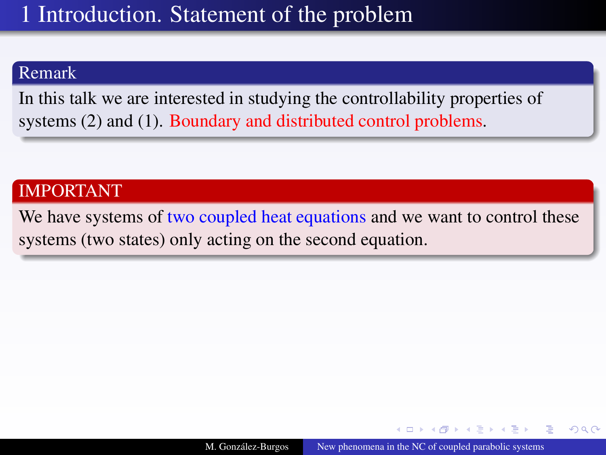### <span id="page-5-0"></span>Remark

In this talk we are interested in studying the controllability properties of systems [\(2\)](#page-4-2) and [\(1\)](#page-4-1). Boundary and distributed control problems.

### IMPORTANT

We have systems of two coupled heat equations and we want to control these systems (two states) only acting on the second equation.

A + + = + + =

 $\Omega$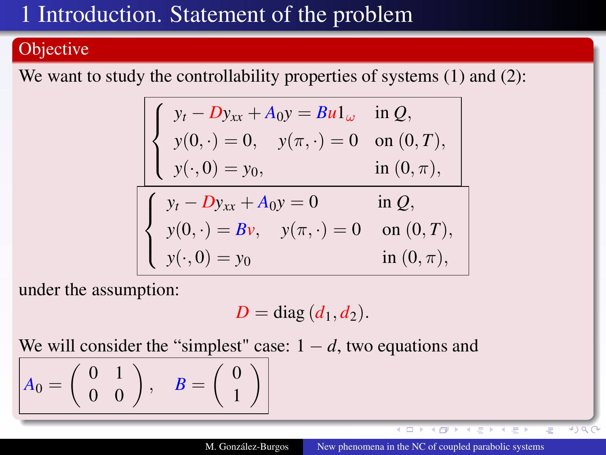# [1](#page-3-1) Introduction. Statement of the problem

### **Objective**

We want to study the controllability properties of systems [\(1\)](#page-4-1) and [\(2\)](#page-4-2):

$$
\begin{cases}\ny_t - Dy_{xx} + A_0 y = Bu1_\omega & \text{in } Q, \\
y(0, \cdot) = 0, \quad y(\pi, \cdot) = 0 \quad \text{on } (0, T), \\
y(\cdot, 0) = y_0, & \text{in } (0, \pi),\n\end{cases}
$$
\n
$$
\begin{cases}\ny_t - Dy_{xx} + A_0 y = 0 & \text{in } Q, \\
y(0, \cdot) = Bv, \quad y(\pi, \cdot) = 0 & \text{on } (0, T), \\
y(\cdot, 0) = y_0 & \text{in } (0, \pi),\n\end{cases}
$$

under the assumption:

$$
D = \text{diag}(d_1, d_2).
$$

We will consider the "simplest" case:  $1 - d$ , two equations and

$$
A_0 = \left(\begin{array}{cc} 0 & 1 \\ 0 & 0 \end{array}\right), \quad B = \left(\begin{array}{c} 0 \\ 1 \end{array}\right)
$$

 $\overline{a}$ 

 $*$ ) Q (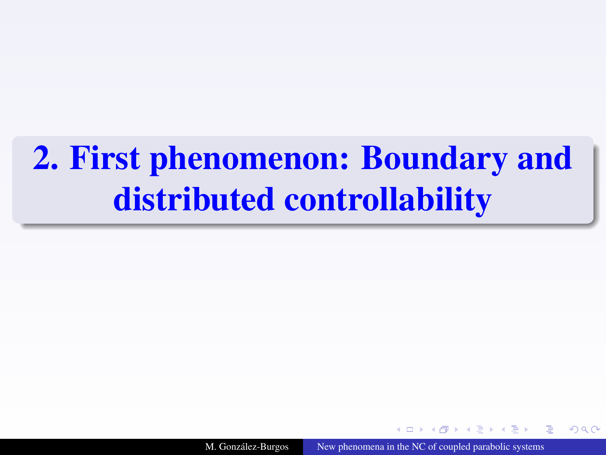# <span id="page-7-1"></span><span id="page-7-0"></span>[2.](#page-7-1) First phenomenon: Boundary and distributed controllability

M. González-Burgos [New phenomena in the NC of coupled parabolic systems](#page-0-0)

 $\Omega$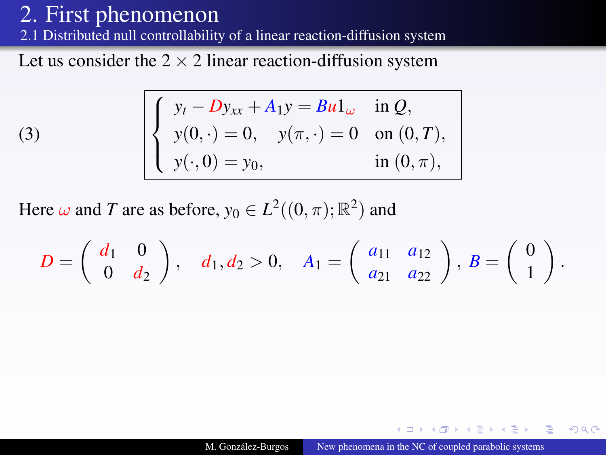(3)

[2.](#page-7-1)1 Distributed null controllability of a linear reaction-diffusion system

Let us consider the  $2 \times 2$  linear reaction-diffusion system

<span id="page-8-0"></span>
$$
\begin{cases}\ny_t - Dy_{xx} + A_1y = Bu1_\omega & \text{in } Q, \\
y(0, \cdot) = 0, \quad y(\pi, \cdot) = 0 \quad \text{on } (0, T), \\
y(\cdot, 0) = y_0, \quad \text{in } (0, \pi),\n\end{cases}
$$

Here  $\omega$  and *T* are as before,  $y_0 \in L^2((0, \pi); \mathbb{R}^2)$  and

$$
D = \left(\begin{array}{cc} d_1 & 0 \\ 0 & d_2 \end{array}\right), \quad d_1, d_2 > 0, \quad A_1 = \left(\begin{array}{cc} a_{11} & a_{12} \\ a_{21} & a_{22} \end{array}\right), \ B = \left(\begin{array}{c} 0 \\ 1 \end{array}\right).
$$

 $QQ$ 

**NATION**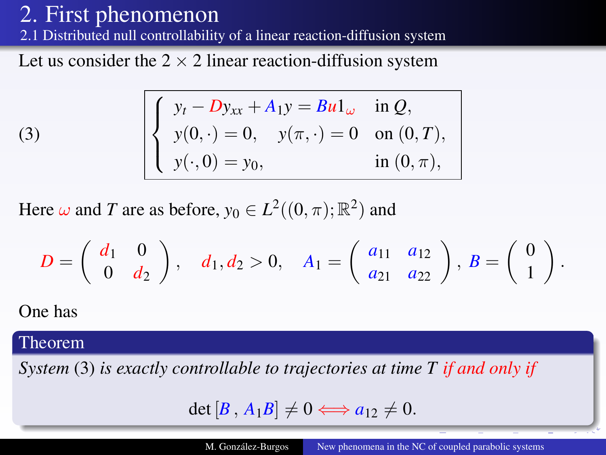[2.](#page-7-1)1 Distributed null controllability of a linear reaction-diffusion system

Let us consider the  $2 \times 2$  linear reaction-diffusion system

$$
\begin{cases}\ny_t - Dy_{xx} + A_1y = Bu1_\omega & \text{in } Q, \\
y(0, \cdot) = 0, \quad y(\pi, \cdot) = 0 \quad \text{on } (0, T), \\
y(\cdot, 0) = y_0, \quad \text{in } (0, \pi),\n\end{cases}
$$

Here  $\omega$  and *T* are as before,  $y_0 \in L^2((0, \pi); \mathbb{R}^2)$  and

$$
D = \left(\begin{array}{cc} d_1 & 0 \\ 0 & d_2 \end{array}\right), \quad d_1, d_2 > 0, \quad A_1 = \left(\begin{array}{cc} a_{11} & a_{12} \\ a_{21} & a_{22} \end{array}\right), \ B = \left(\begin{array}{c} 0 \\ 1 \end{array}\right).
$$

One has

(3)

#### Theorem

*System* [\(3\)](#page-8-0) *is exactly controllable to trajectories at time T if and only if*

$$
\det [B, A_1B] \neq 0 \Longleftrightarrow a_{12} \neq 0.
$$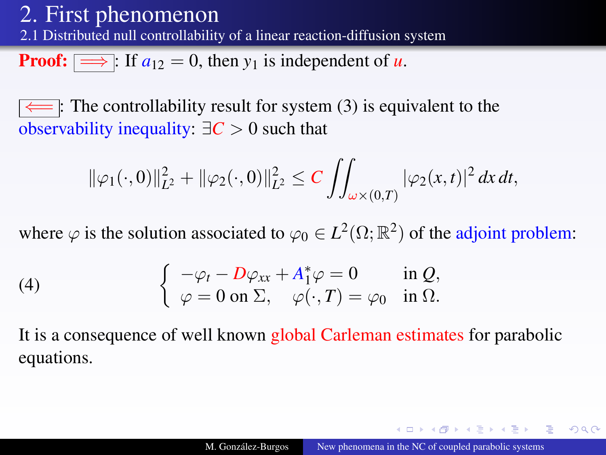[2.](#page-7-1)1 Distributed null controllability of a linear reaction-diffusion system

**Proof:**  $\implies$  : If  $a_{12} = 0$ , then  $y_1$  is independent of *u*.

The controllability result for system  $(3)$  is equivalent to the observability inequality:  $\exists C > 0$  such that

$$
\|\varphi_1(\cdot,0)\|_{L^2}^2 + \|\varphi_2(\cdot,0)\|_{L^2}^2 \le C \iint_{\omega \times (0,T)} |\varphi_2(x,t)|^2 dx dt,
$$

where  $\varphi$  is the solution associated to  $\varphi_0 \in L^2(\Omega;\mathbb{R}^2)$  of the adjoint problem:

<span id="page-10-0"></span>(4) 
$$
\begin{cases} -\varphi_t - D\varphi_{xx} + A_1^* \varphi = 0 & \text{in } Q, \\ \varphi = 0 \text{ on } \Sigma, & \varphi(\cdot, T) = \varphi_0 & \text{in } \Omega. \end{cases}
$$

It is a consequence of well known global Carleman estimates for parabolic equations.

イロト イ押 トイヨ トイヨ ト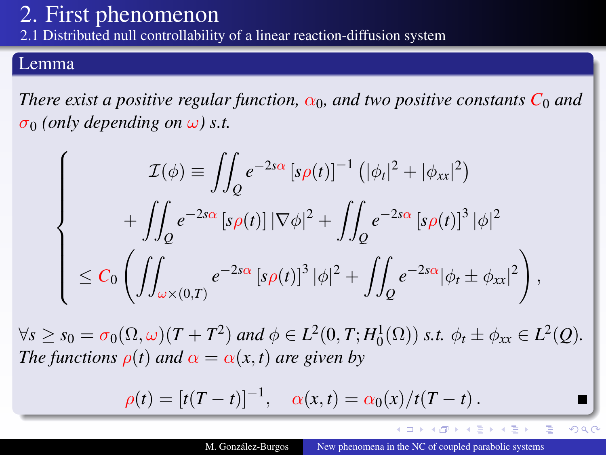[2.](#page-7-1)1 Distributed null controllability of a linear reaction-diffusion system

#### Lemma

*There exist a positive regular function,*  $\alpha_0$ *, and two positive constants*  $C_0$  *and*  $\sigma_0$  *(only depending on*  $\omega$ *) s.t.* 

$$
\begin{cases}\n\mathcal{I}(\phi) \equiv \iint_{Q} e^{-2s\alpha} \left[ s\rho(t) \right]^{-1} \left( |\phi_{t}|^{2} + |\phi_{xx}|^{2} \right) \\
+ \iint_{Q} e^{-2s\alpha} \left[ s\rho(t) \right] |\nabla \phi|^{2} + \iint_{Q} e^{-2s\alpha} \left[ s\rho(t) \right]^{3} |\phi|^{2} \\
\leq C_{0} \left( \iint_{\omega \times (0,T)} e^{-2s\alpha} \left[ s\rho(t) \right]^{3} |\phi|^{2} + \iint_{Q} e^{-2s\alpha} |\phi_{t} \pm \phi_{xx}|^{2} \right),\n\end{cases}
$$

 $\forall s \geq s_0 = \sigma_0(\Omega, \omega)(T + T^2)$  and  $\phi \in L^2(0, T; H_0^1(\Omega))$  *s.t.*  $\phi_t \pm \phi_{xx} \in L^2(Q)$ . *The functions*  $\rho(t)$  *and*  $\alpha = \alpha(x, t)$  *are given by* 

$$
\rho(t) = [t(T - t)]^{-1}, \quad \alpha(x, t) = \alpha_0(x)/t(T - t).
$$

∢ ロ ▶ ∢ 伊 ▶ ∢ ヨ ▶ ∢ ヨ ▶

 $2Q$ 

Э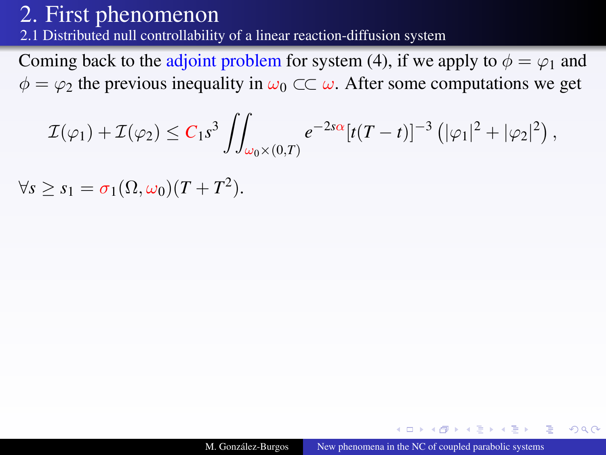[2.](#page-7-1)1 Distributed null controllability of a linear reaction-diffusion system

Coming back to the adjoint problem for system [\(4\)](#page-10-0), if we apply to  $\phi = \varphi_1$  and  $\phi = \varphi_2$  the previous inequality in  $\omega_0 \subset \mathcal{C}$   $\omega$ . After some computations we get

$$
\mathcal{I}(\varphi_1)+\mathcal{I}(\varphi_2)\leq C_1s^3\iint_{\omega_0\times(0,T)}e^{-2s\alpha}[t(T-t)]^{-3}\left(|\varphi_1|^2+|\varphi_2|^2\right),
$$

 $\forall s \geq s_1 = \sigma_1(\Omega, \omega_0)(T + T^2).$ 

 $QQ$ 

伊 ▶ 4 ヨ ▶ 4 ヨ ▶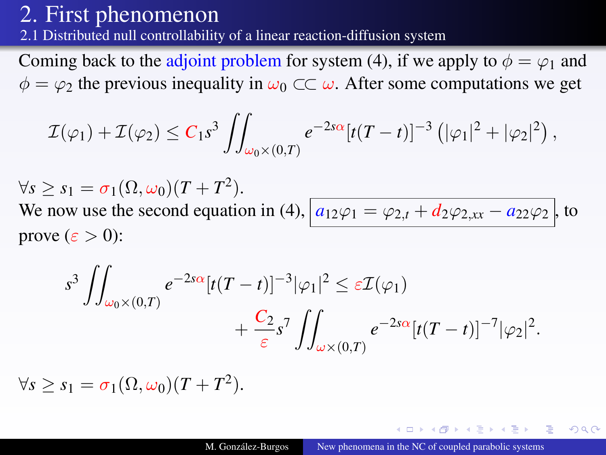[2.](#page-7-1)1 Distributed null controllability of a linear reaction-diffusion system

Coming back to the adjoint problem for system [\(4\)](#page-10-0), if we apply to  $\phi = \varphi_1$  and  $\phi = \varphi_2$  the previous inequality in  $\omega_0 \subset \mathcal{C}$   $\omega$ . After some computations we get

$$
\mathcal{I}(\varphi_1)+\mathcal{I}(\varphi_2)\leq C_1s^3\iint_{\omega_0\times(0,T)}e^{-2s\alpha}[t(T-t)]^{-3}\left(|\varphi_1|^2+|\varphi_2|^2\right),
$$

 $\forall s \geq s_1 = \sigma_1(\Omega, \omega_0)(T + T^2).$ We now use the second equation in [\(4\)](#page-10-0),  $a_{12}\varphi_1 = \varphi_{2,t} + d_2\varphi_{2,xx} - a_{22}\varphi_2$ , to prove  $(\varepsilon > 0)$ :

$$
s^3 \iint_{\omega_0 \times (0,T)} e^{-2s\alpha} [t(T-t)]^{-3} |\varphi_1|^2 \leq \varepsilon \mathcal{I}(\varphi_1) + \frac{C_2}{\varepsilon} s^7 \iint_{\omega \times (0,T)} e^{-2s\alpha} [t(T-t)]^{-7} |\varphi_2|^2.
$$

 $\forall s \geq s_1 = \sigma_1(\Omega, \omega_0)(T + T^2).$ 

 $2Q$ 

伊 ▶ イヨ ▶ イヨ ▶ ○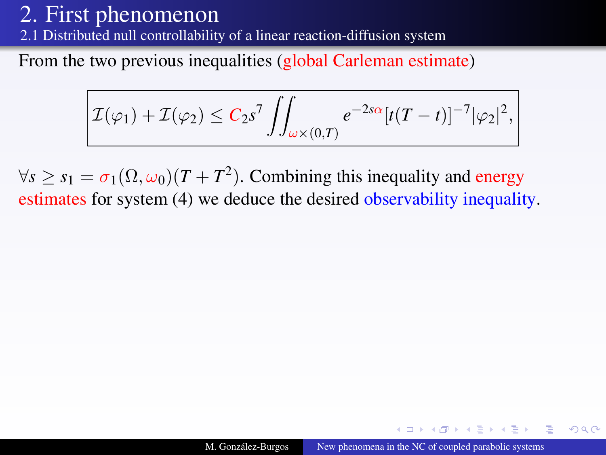[2.](#page-7-1)1 Distributed null controllability of a linear reaction-diffusion system

From the two previous inequalities (global Carleman estimate)

$$
\mathcal{I}(\varphi_1) + \mathcal{I}(\varphi_2) \leq C_2 s^7 \iint_{\omega \times (0,T)} e^{-2s\alpha} [t(T-t)]^{-7} |\varphi_2|^2,
$$

 $\forall s \geq s_1 = \sigma_1(\Omega, \omega_0)(T + T^2)$ . Combining this inequality and energy estimates for system [\(4\)](#page-10-0) we deduce the desired observability inequality.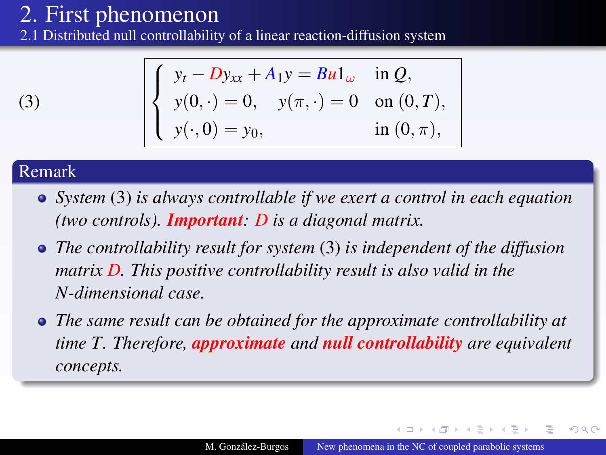[2.](#page-7-1)1 Distributed null controllability of a linear reaction-diffusion system

$$
(3)
$$

$$
\begin{cases}\ny_t - Dy_{xx} + A_1 y = Bu1_\omega & \text{in } Q, \\
y(0, \cdot) = 0, \quad y(\pi, \cdot) = 0 \quad \text{on } (0, T), \\
y(\cdot, 0) = y_0, \quad \text{in } (0, \pi),\n\end{cases}
$$

### Remark

- *System* [\(3\)](#page-8-0) *is always controllable if we exert a control in each equation (two controls). Important: D is a diagonal matrix.*
- *The controllability result for system* [\(3\)](#page-8-0) *is independent of the diffusion matrix D. This positive controllability result is also valid in the N-dimensional case.*
- *The same result can be obtained for the approximate controllability at time T. Therefore, approximate and null controllability are equivalent concepts.*

 $\lambda$  . The  $\lambda$ 

 $\Omega$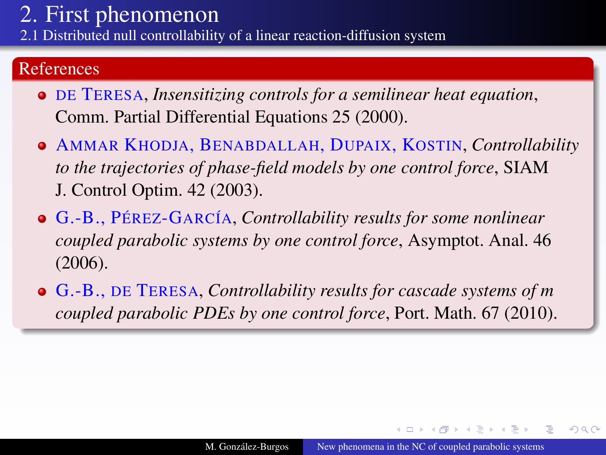[2.](#page-7-1)1 Distributed null controllability of a linear reaction-diffusion system

### References

- DE TERESA, *Insensitizing controls for a semilinear heat equation*, Comm. Partial Differential Equations 25 (2000).
- AMMAR KHODJA, BENABDALLAH, DUPAIX, KOSTIN, *Controllability to the trajectories of phase-field models by one control force*, SIAM J. Control Optim. 42 (2003).
- G.-B., PÉREZ-GARCÍA, *Controllability results for some nonlinear coupled parabolic systems by one control force*, Asymptot. Anal. 46 (2006).
- G.-B., DE TERESA, *Controllability results for cascade systems of m coupled parabolic PDEs by one control force*, Port. Math. 67 (2010).

∢ ロ ▶ ∢ 何 ▶ ∢ 后 ▶ ∢ 后 ▶

 $\Omega$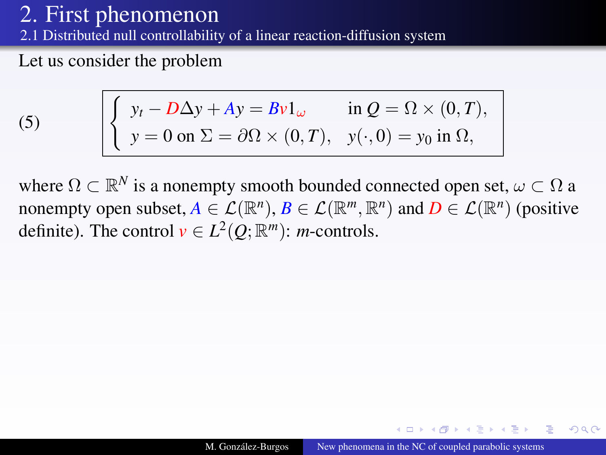[2.](#page-7-1)1 Distributed null controllability of a linear reaction-diffusion system

Let us consider the problem

<span id="page-17-0"></span>(5) 
$$
\begin{cases} y_t - D\Delta y + Ay = Bv1_\omega & \text{in } Q = \Omega \times (0, T), \\ y = 0 \text{ on } \Sigma = \partial\Omega \times (0, T), \quad y(\cdot, 0) = y_0 \text{ in } \Omega, \end{cases}
$$

where  $\Omega \subset \mathbb{R}^N$  is a nonempty smooth bounded connected open set,  $\omega \subset \Omega$  a nonempty open subset,  $A \in \mathcal{L}(\mathbb{R}^n)$ ,  $B \in \mathcal{L}(\mathbb{R}^m, \mathbb{R}^n)$  and  $D \in \mathcal{L}(\mathbb{R}^n)$  (positive definite). The control  $v \in L^2(Q; \mathbb{R}^m)$ : *m*-controls.

 $QQ$ 

**NATION**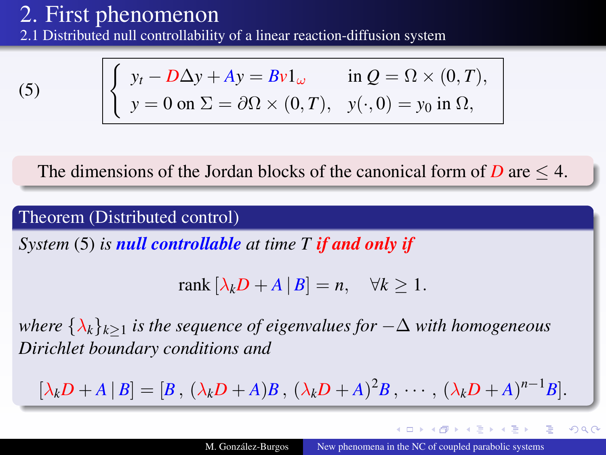[2.](#page-7-1)1 Distributed null controllability of a linear reaction-diffusion system

 $(5)$   $\left| \right\rangle$ 

$$
\begin{cases}\ny_t - D\Delta y + Ay = Bv1_\omega & \text{in } Q = \Omega \times (0, T), \\
y = 0 \text{ on } \Sigma = \partial\Omega \times (0, T), \quad y(\cdot, 0) = y_0 \text{ in } \Omega,\n\end{cases}
$$

The dimensions of the Jordan blocks of the canonical form of  $D$  are  $\leq 4$ .

Theorem (Distributed control)

*System* [\(5\)](#page-17-0) *is null controllable at time T if and only if*

$$
rank [\lambda_k D + A | B] = n, \quad \forall k \ge 1.
$$

*where*  $\{\lambda_k\}_{k>1}$  *is the sequence of eigenvalues for*  $-\Delta$  *with homogeneous Dirichlet boundary conditions and*

$$
[\lambda_k D + A | B] = [B, (\lambda_k D + A)B, (\lambda_k D + A)^2 B, \cdots, (\lambda_k D + A)^{n-1}B].
$$

4 000 100

伊 ▶ 4 ヨ ▶ 4 ヨ

 $2Q$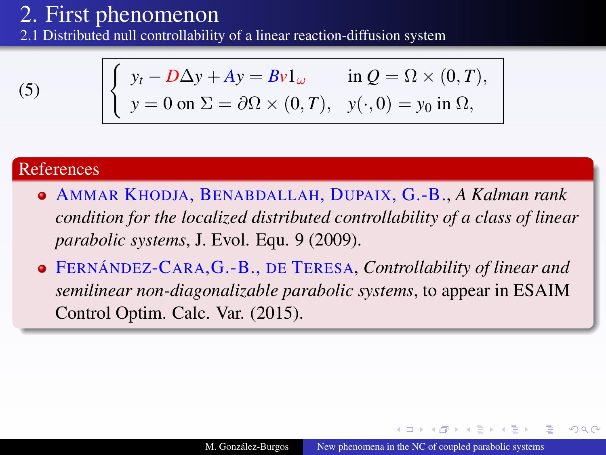[2.](#page-7-1)1 Distributed null controllability of a linear reaction-diffusion system

 $(5)$   $\left| \right\rangle$ 

$$
\begin{cases}\ny_t - D\Delta y + Ay = Bv1_\omega & \text{in } Q = \Omega \times (0, T), \\
y = 0 \text{ on } \Sigma = \partial\Omega \times (0, T), \quad y(\cdot, 0) = y_0 \text{ in } \Omega,\n\end{cases}
$$

#### References

- AMMAR KHODJA, BENABDALLAH, DUPAIX, G.-B., *A Kalman rank condition for the localized distributed controllability of a class of linear parabolic systems*, J. Evol. Equ. 9 (2009).
- FERNÁNDEZ-CARA,G.-B., DE TERESA, *Controllability of linear and semilinear non-diagonalizable parabolic systems*, to appear in ESAIM Control Optim. Calc. Var. (2015).

 $2Q$ 

伊 ▶ 4 ヨ ▶ 4 ヨ ▶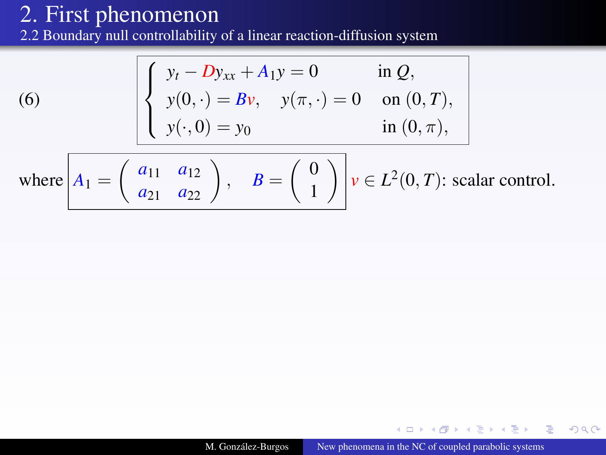[2.](#page-7-1)2 Boundary null controllability of a linear reaction-diffusion system

(6) 
$$
\begin{cases} y_t - Dy_{xx} + A_1 y = 0 & \text{in } Q, \\ y(0, \cdot) = Bv, \quad y(\pi, \cdot) = 0 & \text{on } (0, T), \\ y(\cdot, 0) = y_0 & \text{in } (0, \pi), \end{cases}
$$

<span id="page-20-0"></span>where 
$$
A_1 = \begin{pmatrix} a_{11} & a_{12} \\ a_{21} & a_{22} \end{pmatrix}
$$
,  $B = \begin{pmatrix} 0 \\ 1 \end{pmatrix}$   $v \in L^2(0, T)$ : scalar control.

 $\leftarrow$   $\Box$ 

× 母

 $\mathbb{R}^n \times \mathbb{R}^n \rightarrow \mathbb{R}^n \times \mathbb{R}^n$ 

 $2Q$ 

э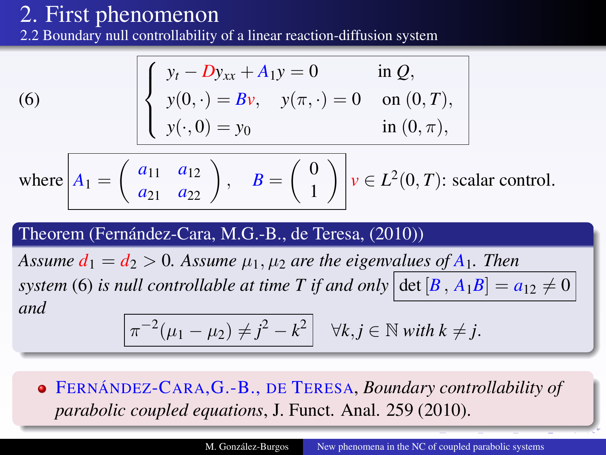[2.](#page-7-1)2 Boundary null controllability of a linear reaction-diffusion system

(6) 
$$
\begin{cases} y_t - Dy_{xx} + A_1 y = 0 & \text{in } Q, \\ y(0, \cdot) = Bv, & y(\pi, \cdot) = 0 & \text{on } (0, T), \\ y(\cdot, 0) = y_0 & \text{in } (0, \pi), \end{cases}
$$

where 
$$
A_1 = \begin{pmatrix} a_{11} & a_{12} \\ a_{21} & a_{22} \end{pmatrix}
$$
,  $B = \begin{pmatrix} 0 \\ 1 \end{pmatrix}$   $v \in L^2(0, T)$ : scalar control.

#### Theorem (Fernández-Cara, M.G.-B., de Teresa, (2010))

*Assume*  $d_1 = d_2 > 0$ *. Assume*  $\mu_1, \mu_2$  *are the eigenvalues of*  $A_1$ *. Then system* [\(6\)](#page-20-0) *is null controllable at time T if and only*  $\left|\det(B, A_1B\right] = a_{12} \neq 0$ *and*

$$
\pi^{-2}(\mu_1 - \mu_2) \neq j^2 - k^2 \quad \forall k, j \in \mathbb{N} \text{ with } k \neq j.
$$

FERNÁNDEZ-CARA,G.-B., DE TERESA, *Boundary controllability of parabolic coupled equations*, J. Funct. Anal. 259 (2010).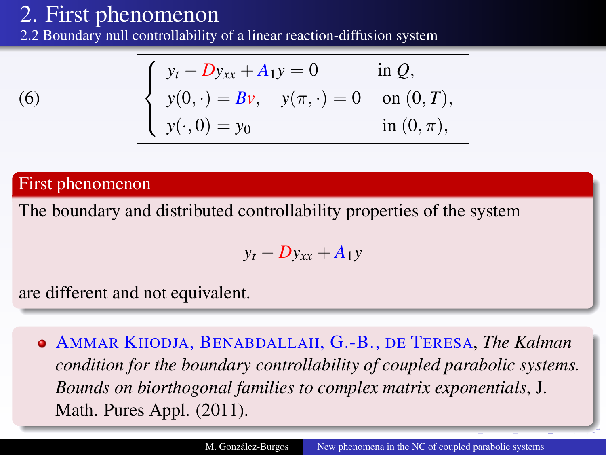[2.](#page-7-1)2 Boundary null controllability of a linear reaction-diffusion system

$$
\left(6\right)
$$

$$
\begin{cases}\ny_t - Dy_{xx} + A_1 y = 0 & \text{in } Q, \\
y(0, \cdot) = Bv, \quad y(\pi, \cdot) = 0 & \text{on } (0, T), \\
y(\cdot, 0) = y_0 & \text{in } (0, \pi),\n\end{cases}
$$

### First phenomenon

The boundary and distributed controllability properties of the system

$$
y_t - D y_{xx} + A_1 y
$$

are different and not equivalent.

AMMAR KHODJA, BENABDALLAH, G.-B., DE TERESA, *The Kalman condition for the boundary controllability of coupled parabolic systems. Bounds on biorthogonal families to complex matrix exponentials*, J. Math. Pures Appl. (2011).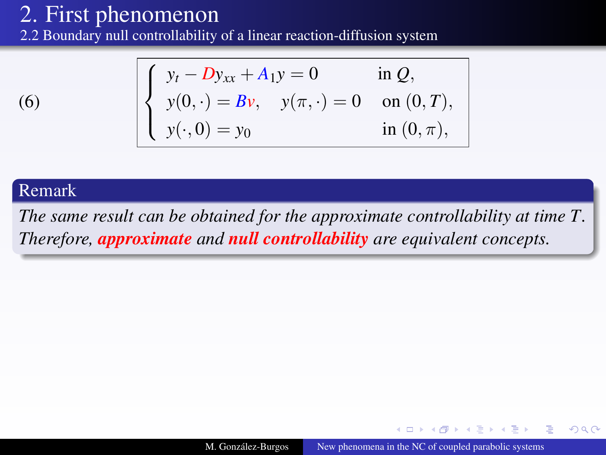[2.](#page-7-1)2 Boundary null controllability of a linear reaction-diffusion system

$$
^{(6)}
$$

$$
\begin{cases}\ny_t - Dy_{xx} + A_1 y = 0 & \text{in } Q, \\
y(0, \cdot) = Bv, \quad y(\pi, \cdot) = 0 & \text{on } (0, T), \\
y(\cdot, 0) = y_0 & \text{in } (0, \pi),\n\end{cases}
$$

#### Remark

*The same result can be obtained for the approximate controllability at time T. Therefore, approximate and null controllability are equivalent concepts.*

4 17 18

**ALCOHOL:**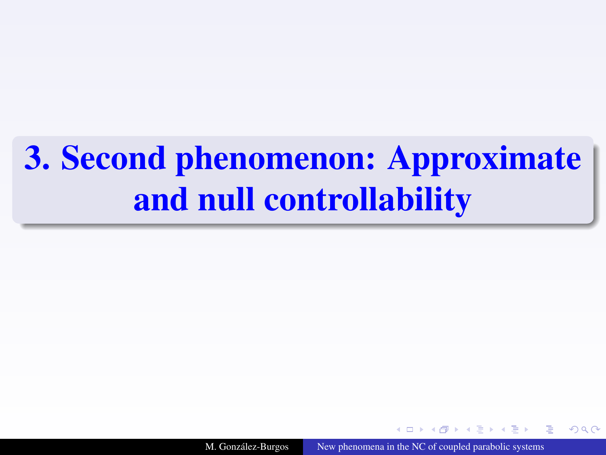# <span id="page-24-1"></span><span id="page-24-0"></span>[3.](#page-24-1) Second phenomenon: Approximate and null controllability

M. González-Burgos [New phenomena in the NC of coupled parabolic systems](#page-0-0)

 $\Omega$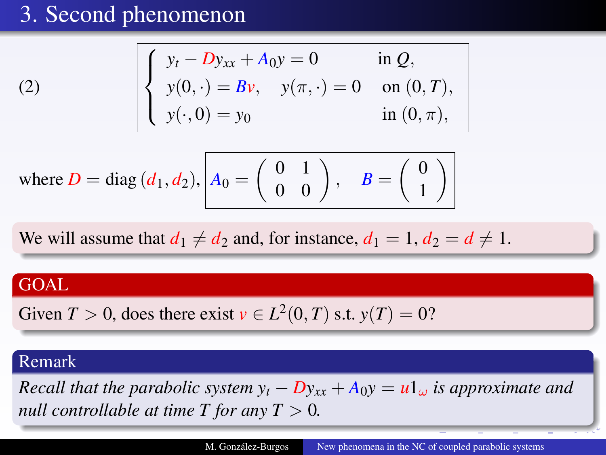$$
\begin{cases}\ny_t - Dy_{xx} + A_0 y = 0 & \text{in } Q, \\
y(0, \cdot) = Bv, \quad y(\pi, \cdot) = 0 & \text{on } (0, T), \\
y(\cdot, 0) = y_0 & \text{in } (0, \pi),\n\end{cases}
$$

where 
$$
D = \text{diag}(d_1, d_2),
$$
  $A_0 = \begin{pmatrix} 0 & 1 \\ 0 & 0 \end{pmatrix}, B = \begin{pmatrix} 0 \\ 1 \end{pmatrix}$ 

We will assume that  $d_1 \neq d_2$  and, for instance,  $d_1 = 1, d_2 = d \neq 1$ .

### **GOAL**

[\(2\)](#page-4-2)

Given 
$$
T > 0
$$
, does there exist  $v \in L^2(0, T)$  s.t.  $y(T) = 0$ ?

### Remark

*Recall that the parabolic system*  $y_t - Dy_{xx} + A_0y = u1_\omega$  *is approximate and null controllable at time T for any T*  $> 0$ *.*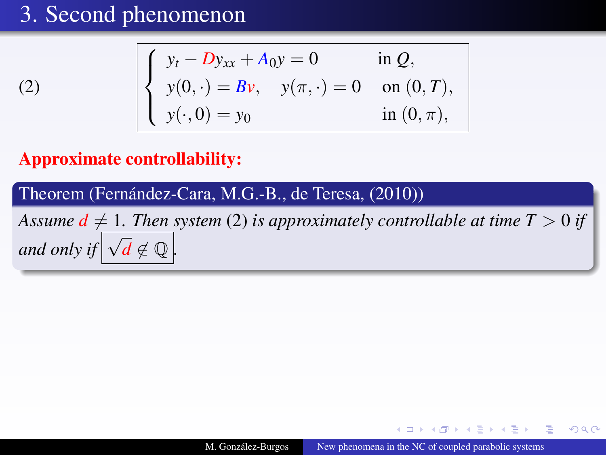$$
\begin{cases}\ny_t - Dy_{xx} + A_0 y = 0 & \text{in } Q, \\
y(0, \cdot) = Bv, \quad y(\pi, \cdot) = 0 & \text{on } (0, T), \\
y(\cdot, 0) = y_0 & \text{in } (0, \pi),\n\end{cases}
$$

### Approximate controllability:

[\(2\)](#page-4-2)

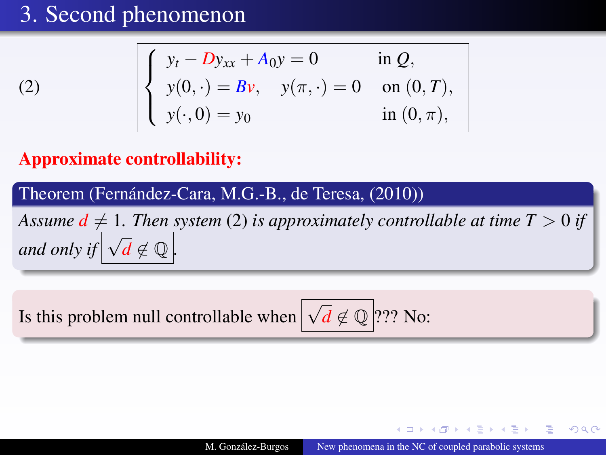$$
\begin{cases}\ny_t - Dy_{xx} + A_0 y = 0 & \text{in } Q, \\
y(0, \cdot) = Bv, \quad y(\pi, \cdot) = 0 & \text{on } (0, T), \\
y(\cdot, 0) = y_0 & \text{in } (0, \pi),\n\end{cases}
$$

### Approximate controllability:

[\(2\)](#page-4-2)



Is this problem null controllable when  $\boxed{\sqrt{d} \notin \mathbb{Q}}$  ??? No:

 $2Q$ 

**NATION**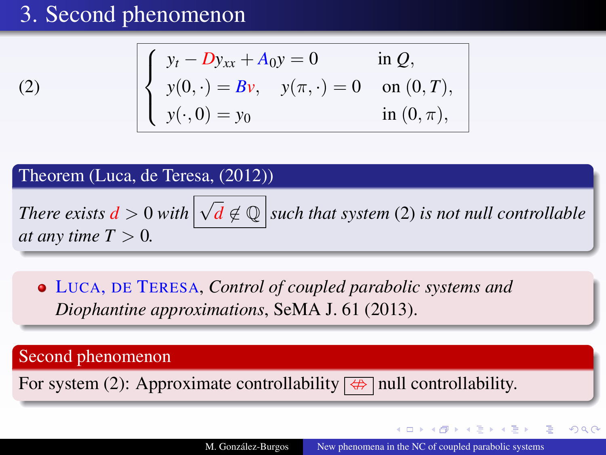[\(2\)](#page-4-2)

$$
\begin{cases}\ny_t - Dy_{xx} + A_0 y = 0 & \text{in } Q, \\
y(0, \cdot) = Bv, \quad y(\pi, \cdot) = 0 & \text{on } (0, T), \\
y(\cdot, 0) = y_0 & \text{in } (0, \pi),\n\end{cases}
$$

Theorem (Luca, de Teresa, (2012))

*There exists*  $d > 0$  with  $\boxed{\sqrt{d} \notin \mathbb{Q}}$  such that system [\(2\)](#page-4-2) is not null controllable *at any time*  $T > 0$ *.* 

LUCA, DE TERESA, *Control of coupled parabolic systems and Diophantine approximations*, SeMA J. 61 (2013).

Second phenomenon

For system [\(2\)](#page-4-2): Approximate controllability  $\boxed{\Leftrightarrow}$  null controllability.

イロト (何) (ほ) (日)

 $2Q$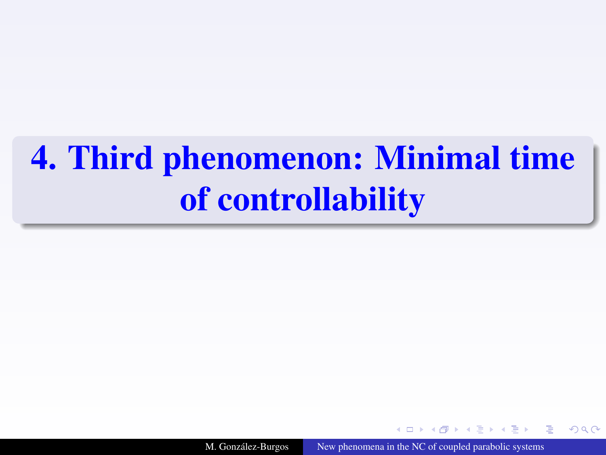# <span id="page-29-1"></span><span id="page-29-0"></span>[4.](#page-29-1) Third phenomenon: Minimal time of controllability

M. González-Burgos [New phenomena in the NC of coupled parabolic systems](#page-0-0)

 $\Omega$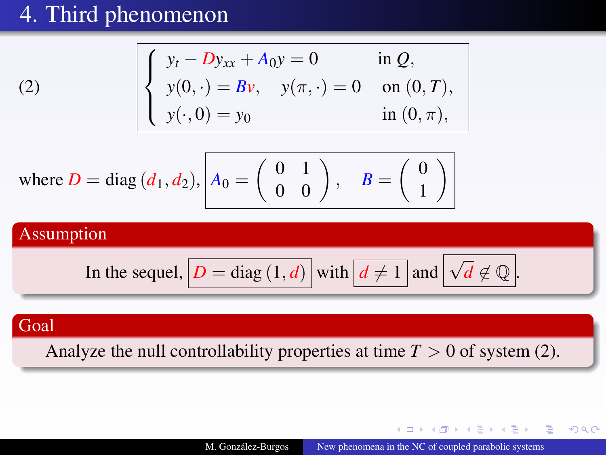$$
\begin{cases}\ny_t - Dy_{xx} + A_0 y = 0 & \text{in } Q, \\
y(0, \cdot) = Bv, \quad y(\pi, \cdot) = 0 & \text{on } (0, T), \\
y(\cdot, 0) = y_0 & \text{in } (0, \pi),\n\end{cases}
$$

where 
$$
D = \text{diag}(d_1, d_2),
$$
  $A_0 = \begin{pmatrix} 0 & 1 \\ 0 & 0 \end{pmatrix}, B = \begin{pmatrix} 0 \\ 1 \end{pmatrix}$ 

### Assumption

In the sequel, 
$$
\boxed{D = \text{diag}(1, d)}
$$
 with  $\boxed{d \neq 1}$  and  $\boxed{\sqrt{d} \not\in \mathbb{Q}}$ .

### Goal

[\(2\)](#page-4-2)

Analyze the null controllability properties at time  $T > 0$  of system [\(2\)](#page-4-2).

イロトス 伊 トス ミトス 手

つへへ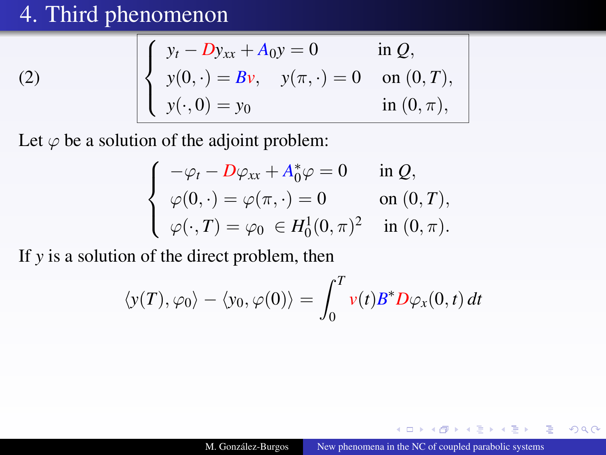[\(2\)](#page-4-2)

$$
\begin{cases}\ny_t - Dy_{xx} + A_0 y = 0 & \text{in } Q, \\
y(0, \cdot) = Bv, \quad y(\pi, \cdot) = 0 & \text{on } (0, T), \\
y(\cdot, 0) = y_0 & \text{in } (0, \pi),\n\end{cases}
$$

Let  $\varphi$  be a solution of the adjoint problem:

$$
\begin{cases}\n-\varphi_t - D\varphi_{xx} + A_0^*\varphi = 0 & \text{in } Q, \\
\varphi(0, \cdot) = \varphi(\pi, \cdot) = 0 & \text{on } (0, T), \\
\varphi(\cdot, T) = \varphi_0 \in H_0^1(0, \pi)^2 & \text{in } (0, \pi).\n\end{cases}
$$

If *y* is a solution of the direct problem, then

$$
\langle y(T), \varphi_0 \rangle - \langle y_0, \varphi(0) \rangle = \int_0^T v(t) B^* D \varphi_x(0, t) dt
$$

 $4.171$ 

つへへ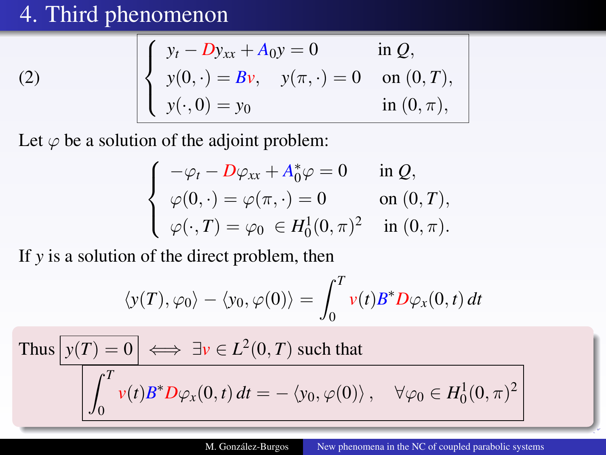[\(2\)](#page-4-2)

$$
\begin{cases}\ny_t - Dy_{xx} + A_0 y = 0 & \text{in } Q, \\
y(0, \cdot) = Bv, \quad y(\pi, \cdot) = 0 & \text{on } (0, T), \\
y(\cdot, 0) = y_0 & \text{in } (0, \pi),\n\end{cases}
$$

Let  $\varphi$  be a solution of the adjoint problem:

$$
\begin{cases}\n-\varphi_t - D\varphi_{xx} + A_0^*\varphi = 0 & \text{in } Q, \\
\varphi(0, \cdot) = \varphi(\pi, \cdot) = 0 & \text{on } (0, T), \\
\varphi(\cdot, T) = \varphi_0 \in H_0^1(0, \pi)^2 & \text{in } (0, \pi).\n\end{cases}
$$

If *y* is a solution of the direct problem, then

$$
\langle y(T), \varphi_0 \rangle - \langle y_0, \varphi(0) \rangle = \int_0^T v(t) B^* D \varphi_x(0, t) dt
$$

Thus 
$$
y(T) = 0
$$
  $\iff \exists v \in L^2(0, T)$  such that  

$$
\int_0^T v(t)B^* D\varphi_x(0, t) dt = -\langle y_0, \varphi(0) \rangle, \quad \forall \varphi_0 \in H_0^1(0, \pi)^2
$$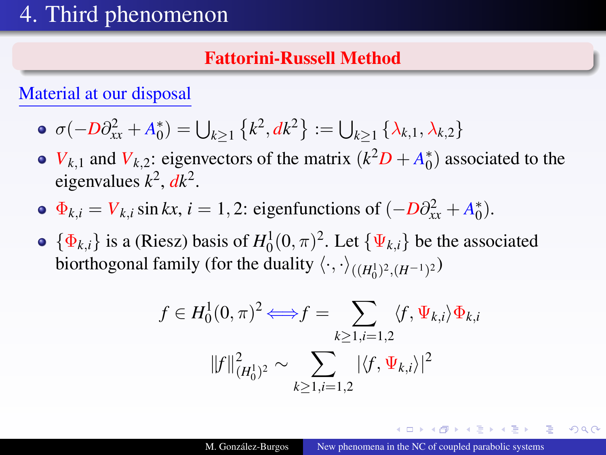### Fattorini-Russell Method

Material at our disposal

- $\sigma(-D\partial_{xx}^2 + A_0^*) = \bigcup_{k \ge 1} \{k^2, dk^2\} := \bigcup_{k \ge 1} \{\lambda_{k,1}, \lambda_{k,2}\}\$
- *V*<sub>*k*</sub>,1 and *V*<sub>*k*</sub>,2: eigenvectors of the matrix  $(k^2D + A_0^*)$  associated to the eigenvalues  $k^2$ ,  $dk^2$ .
- $\Phi_{k,i} = V_{k,i} \sin kx, i = 1, 2$ : eigenfunctions of  $(-D\partial_{xx}^2 + A_0^*)$ .
- $\{\Phi_{k,i}\}\$ is a (Riesz) basis of  $H_0^1(0,\pi)^2$ . Let  $\{\Psi_{k,i}\}\$ be the associated biorthogonal family (for the duality  $\langle \cdot, \cdot \rangle_{((H_0^1)^2, (H^{-1})^2})$

$$
f \in H_0^1(0, \pi)^2 \Longleftrightarrow f = \sum_{k \ge 1, i=1,2} \langle f, \Psi_{k,i} \rangle \Phi_{k,i}
$$

$$
||f||_{(H_0^1)^2}^2 \sim \sum_{k \ge 1, i=1,2} |\langle f, \Psi_{k,i} \rangle|^2
$$

∢ ロ ▶ ④ 伊 ▶ ④ ヨ ▶ ④ ヨ ▶ ○

 $2Q$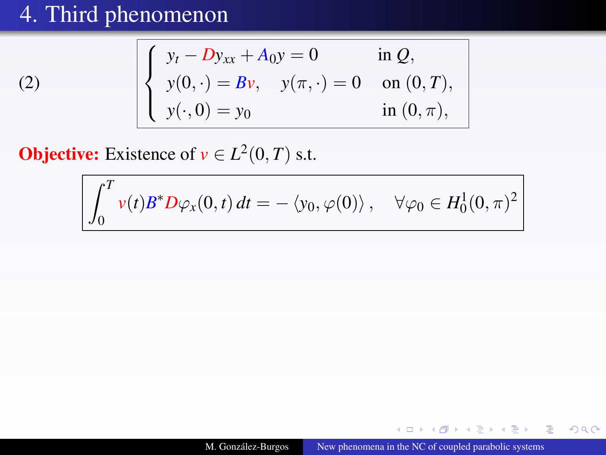[\(2\)](#page-4-2)

$$
\begin{cases}\ny_t - Dy_{xx} + A_0 y = 0 & \text{in } Q, \\
y(0, \cdot) = Bv, \quad y(\pi, \cdot) = 0 & \text{on } (0, T), \\
y(\cdot, 0) = y_0 & \text{in } (0, \pi),\n\end{cases}
$$

**Objective:** Existence of  $v \in L^2(0, T)$  s.t.

$$
\int_0^T v(t)B^*D\varphi_x(0,t) dt = - \langle y_0, \varphi(0) \rangle, \quad \forall \varphi_0 \in H_0^1(0,\pi)^2
$$

 $\leftarrow$   $\Box$ 

 $\mathcal{A}$ 

伊 ▶ 4 ヨ ▶ 4 ヨ

 $290$ 

∍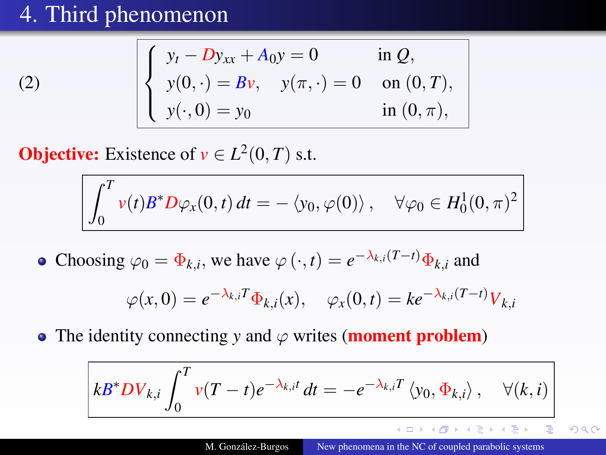[\(2\)](#page-4-2)

$$
\begin{cases}\ny_t - Dy_{xx} + A_0 y = 0 & \text{in } Q, \\
y(0, \cdot) = Bv, \quad y(\pi, \cdot) = 0 & \text{on } (0, T), \\
y(\cdot, 0) = y_0 & \text{in } (0, \pi),\n\end{cases}
$$

**Objective:** Existence of  $v \in L^2(0, T)$  s.t.

$$
\int_0^T v(t)B^*D\varphi_x(0,t) dt = - \langle y_0, \varphi(0) \rangle, \quad \forall \varphi_0 \in H_0^1(0,\pi)^2
$$

Choosing  $\varphi_0 = \Phi_{k,i}$ , we have  $\varphi(\cdot, t) = e^{-\lambda_{k,i}(T-t)} \Phi_{k,i}$  and

$$
\varphi(x,0) = e^{-\lambda_{k,i}T} \Phi_{k,i}(x), \quad \varphi_x(0,t) = k e^{-\lambda_{k,i}(T-t)} V_{k,i}
$$

• The identity connecting *y* and  $\varphi$  writes (**moment problem**)

$$
\overline{kB^*DV_{k,i}}\int_0^T v(T-t)e^{-\lambda_{k,i}t}\,dt=-e^{-\lambda_{k,i}T}\left\langle y_0,\Phi_{k,i}\right\rangle,\quad\forall (k,i)
$$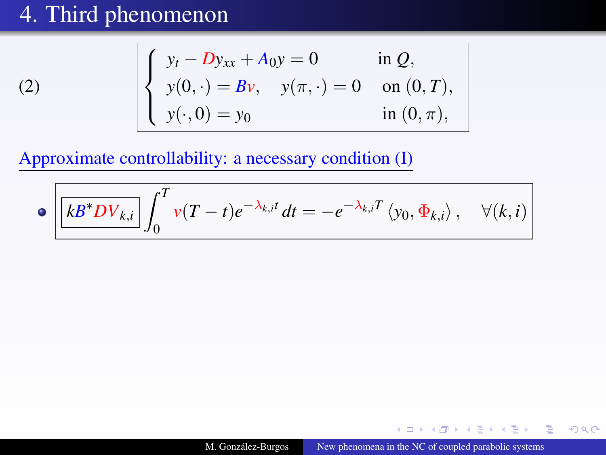[\(2\)](#page-4-2)

$$
\begin{cases}\ny_t - Dy_{xx} + A_0y = 0 & \text{in } Q, \\
y(0, \cdot) = Bv, \quad y(\pi, \cdot) = 0 & \text{on } (0, T), \\
y(\cdot, 0) = y_0 & \text{in } (0, \pi),\n\end{cases}
$$

Approximate controllability: a necessary condition (I)

$$
\bullet \left[ \overline{kB^*DV_{k,i}} \right] \int_0^T v(T-t)e^{-\lambda_{k,i}t} dt = -e^{-\lambda_{k,i}T} \left\langle y_0, \Phi_{k,i} \right\rangle, \quad \forall (k,i)
$$

 $\leftarrow$   $\Box$ × 有

★ 4 重 ★ 4 重

 $2Q$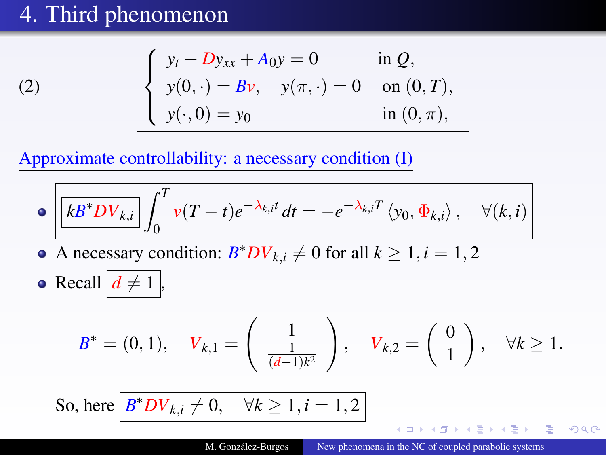[\(2\)](#page-4-2)

$$
\begin{cases}\ny_t - Dy_{xx} + A_0 y = 0 & \text{in } Q, \\
y(0, \cdot) = Bv, \quad y(\pi, \cdot) = 0 & \text{on } (0, T), \\
y(\cdot, 0) = y_0 & \text{in } (0, \pi),\n\end{cases}
$$

Approximate controllability: a necessary condition (I)

$$
\bullet \left[ \overline{kB^*DV_{k,i}} \right] \int_0^T v(T-t)e^{-\lambda_{k,i}t} dt = -e^{-\lambda_{k,i}T} \left\langle y_0, \Phi_{k,i} \right\rangle, \quad \forall (k,i)
$$

- A necessary condition:  $B^*DV_{k,i} \neq 0$  for all  $k \geq 1, i = 1, 2$  $\bullet$
- Recall  $d \neq 1$ ,

$$
B^* = (0,1), \quad V_{k,1} = \left(\begin{array}{c} 1 \\ \frac{1}{(d-1)k^2} \end{array}\right), \quad V_{k,2} = \left(\begin{array}{c} 0 \\ 1 \end{array}\right), \quad \forall k \ge 1.
$$

So, here  $B^*DV_{k,i}\neq 0$ ,  $\forall k\geq 1, i=1,2$ 

 $2Q$ 

化重新润滑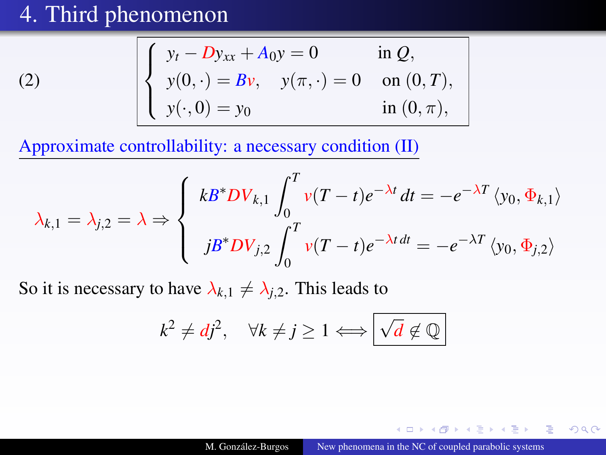(2) 
$$
\begin{cases} y_t - Dy_{xx} + A_0 y = 0 & \text{in } Q, \\ y(0, \cdot) = Bv, \quad y(\pi, \cdot) = 0 & \text{on } (0, T), \\ y(\cdot, 0) = y_0 & \text{in } (0, \pi), \end{cases}
$$

Approximate controllability: a necessary condition (II)

$$
\lambda_{k,1} = \lambda_{j,2} = \lambda \Rightarrow \begin{cases} k B^* D V_{k,1} \int_0^T v(T-t) e^{-\lambda t} dt = -e^{-\lambda T} \langle y_0, \Phi_{k,1} \rangle \\ j B^* D V_{j,2} \int_0^T v(T-t) e^{-\lambda t} dt = -e^{-\lambda T} \langle y_0, \Phi_{j,2} \rangle \end{cases}
$$

So it is necessary to have  $\lambda_{k,1} \neq \lambda_{i,2}$ . This leads to

$$
k^2 \neq dj^2
$$
,  $\forall k \neq j \geq 1 \Longleftrightarrow \boxed{\sqrt{d} \notin \mathbb{Q}}$ 

4 17 18

 $\sim$ 

**ARACTE**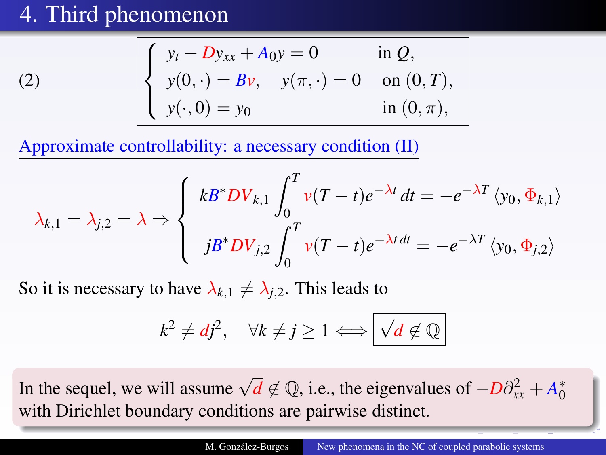(2) 
$$
\begin{cases} y_t - Dy_{xx} + A_0 y = 0 & \text{in } Q, \\ y(0, \cdot) = Bv, \quad y(\pi, \cdot) = 0 & \text{on } (0, T), \\ y(\cdot, 0) = y_0 & \text{in } (0, \pi), \end{cases}
$$

Approximate controllability: a necessary condition (II)

$$
\lambda_{k,1} = \lambda_{j,2} = \lambda \Rightarrow \begin{cases} k B^* D V_{k,1} \int_0^T v(T-t) e^{-\lambda t} dt = -e^{-\lambda T} \langle y_0, \Phi_{k,1} \rangle \\ j B^* D V_{j,2} \int_0^T v(T-t) e^{-\lambda t} dt = -e^{-\lambda T} \langle y_0, \Phi_{j,2} \rangle \end{cases}
$$

So it is necessary to have  $\lambda_{k,1} \neq \lambda_{j,2}$ . This leads to

$$
k^2 \neq dj^2, \quad \forall k \neq j \geq 1 \Longleftrightarrow \boxed{\sqrt{d} \notin \mathbb{Q}}
$$

In the sequel, we will assume  $\sqrt{d} \notin \mathbb{Q}$ , i.e., the eigenvalues of  $-D\partial_{xx}^2 + A_0^*$ with Dirichlet boundary conditions are pairwise distinct.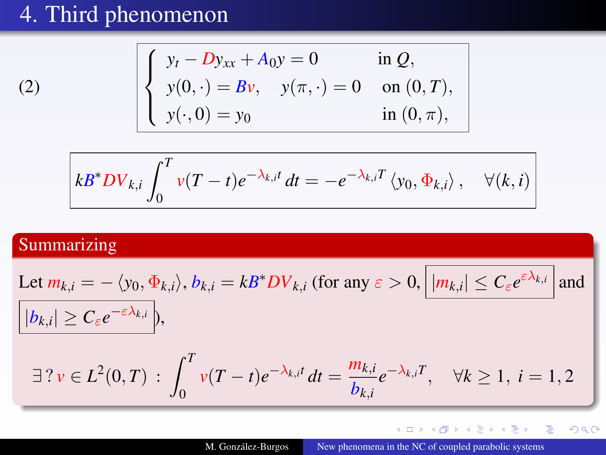$$
\begin{cases}\ny_t - Dy_{xx} + A_0 y = 0 & \text{in } Q, \\
y(0, \cdot) = Bv, \quad y(\pi, \cdot) = 0 & \text{on } (0, T), \\
y(\cdot, 0) = y_0 & \text{in } (0, \pi),\n\end{cases}
$$

$$
\left| kB^*DV_{k,i}\int_0^T v(T-t)e^{-\lambda_{k,i}t}\,dt=-e^{-\lambda_{k,i}T}\left\langle y_0,\Phi_{k,i}\right\rangle,\quad\forall (k,i)
$$

### **Summarizing**

[\(2\)](#page-4-2)

Let 
$$
m_{k,i} = -\langle y_0, \Phi_{k,i} \rangle
$$
,  $b_{k,i} = kB^*DV_{k,i}$  (for any  $\varepsilon > 0$ ,  $||m_{k,i}| \le C_{\varepsilon}e^{\varepsilon \lambda_{k,i}}|$  and  
\n
$$
||b_{k,i}| \ge C_{\varepsilon}e^{-\varepsilon \lambda_{k,i}}|,
$$
\n
$$
\exists ? \nu \in L^2(0, T) : \int_0^T \nu(T - t)e^{-\lambda_{k,i}t} dt = \frac{m_{k,i}}{b_{k,i}}e^{-\lambda_{k,i}T}, \quad \forall k \ge 1, i = 1, 2
$$

メロトメ 御 メスき メスきん

È

 $290$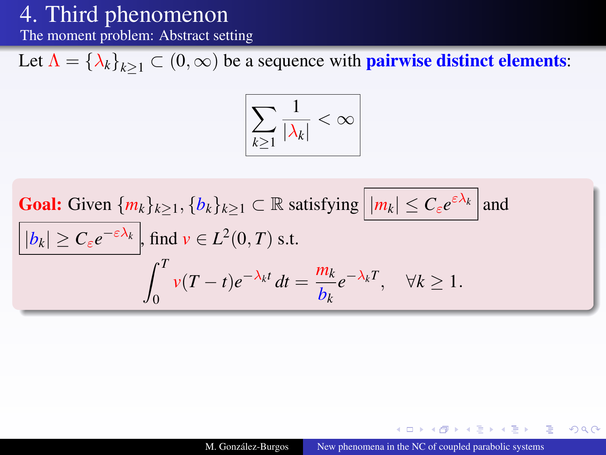The moment problem: Abstract setting

Let  $\Lambda = {\lambda_k}_{k>1} \subset (0,\infty)$  be a sequence with **pairwise distinct elements:** 

$$
\boxed{\sum_{k\geq 1} \frac{1}{|\lambda_k|} < \infty}
$$

**Goal:** Given 
$$
\{m_k\}_{k\geq 1}
$$
,  $\{b_k\}_{k\geq 1} \subset \mathbb{R}$  satisfying  $\boxed{|m_k| \leq C_{\varepsilon}e^{\varepsilon \lambda_k}}$  and  $\boxed{|b_k| \geq C_{\varepsilon}e^{-\varepsilon \lambda_k}}$ , find  $v \in L^2(0, T)$  s.t. 
$$
\int_0^T v(T-t)e^{-\lambda_k t} dt = \frac{m_k}{b_k}e^{-\lambda_k T}, \quad \forall k \geq 1.
$$

**ALCOHOL:** 

押 トメミ トメミ

つへへ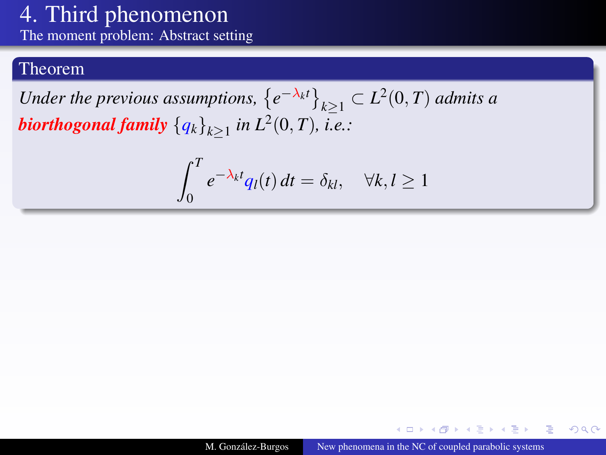The moment problem: Abstract setting

### Theorem

Under the previous assumptions,  $\{e^{-\lambda_k t}\}_{k\geq 1} \subset L^2(0,T)$  admits a  $\bm{b}$  *iorthogonal family*  $\left\{ q_{k} \right\}_{k \geq 1}$  *in*  $L^2(0,T)$ *, i.e.:* 

$$
\int_0^T e^{-\lambda_k t} q_l(t) dt = \delta_{kl}, \quad \forall k, l \ge 1
$$

 $2Q$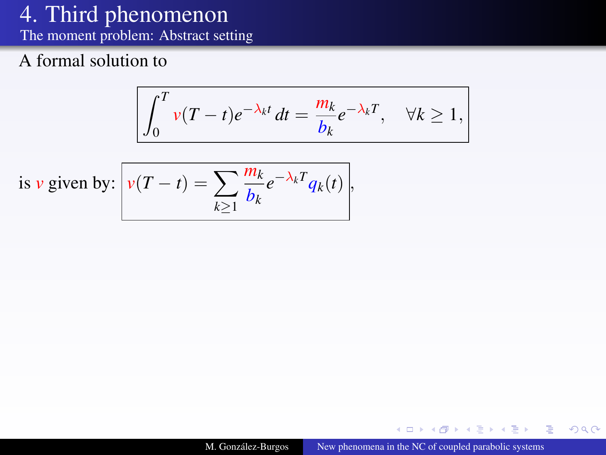The moment problem: Abstract setting

### A formal solution to

$$
\int_0^T v(T-t)e^{-\lambda_k t} dt = \frac{m_k}{b_k}e^{-\lambda_k T}, \quad \forall k \ge 1,
$$

is *v* given by: 
$$
v(T - t) = \sum_{k \ge 1} \frac{m_k}{b_k} e^{-\lambda_k T} q_k(t),
$$

 $\leftarrow$   $\Box$ × 有  $\sim$ **ALCOHOL:** - 4 - 三  $2Q$ 

∍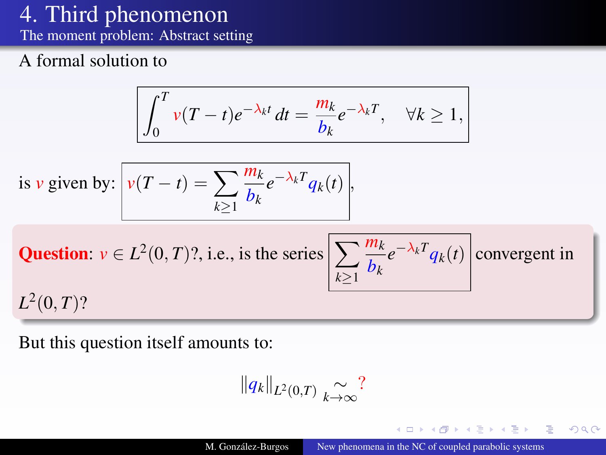The moment problem: Abstract setting

### A formal solution to

$$
\int_0^T v(T-t)e^{-\lambda_k t} dt = \frac{m_k}{b_k}e^{-\lambda_k T}, \quad \forall k \ge 1,
$$

is *v* given by: 
$$
v(T - t) = \sum_{k \ge 1} \frac{m_k}{b_k} e^{-\lambda_k T} q_k(t),
$$

**Question:** 
$$
v \in L^2(0, T)
$$
?, i.e., is the series  $\left[\sum_{k\geq 1} \frac{m_k}{b_k} e^{-\lambda_k T} q_k(t)\right]$  convergent in  $L^2(0, T)$ ?

But this question itself amounts to:

$$
||q_k||_{L^2(0,T)} \underset{k\to\infty}{\sim} ?
$$

 $4.171.6$ 

舌

舌

つへへ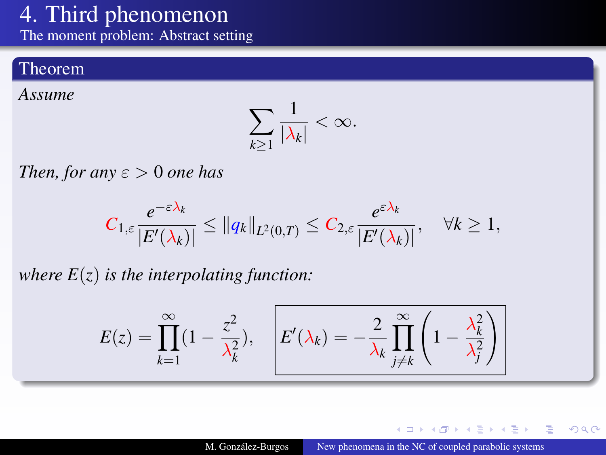The moment problem: Abstract setting

### Theorem

*Assume*

$$
\sum_{k\geq 1} \frac{1}{|\lambda_k|} < \infty.
$$

*Then, for any*  $\varepsilon > 0$  *one has* 

$$
C_{1,\varepsilon}\frac{e^{-\varepsilon\lambda_k}}{|E'(\lambda_k)|}\leq \|q_k\|_{L^2(0,T)}\leq C_{2,\varepsilon}\frac{e^{\varepsilon\lambda_k}}{|E'(\lambda_k)|},\quad \forall k\geq 1,
$$

*where*  $E(z)$  *is the interpolating function:* 

$$
E(z) = \prod_{k=1}^{\infty} (1 - \frac{z^2}{\lambda_k^2}), \quad E'(\lambda_k) = -\frac{2}{\lambda_k} \prod_{j \neq k}^{\infty} \left(1 - \frac{\lambda_k^2}{\lambda_j^2}\right)
$$

**ALCOHOL:** × 母 医间面的  $\mathcal{A}$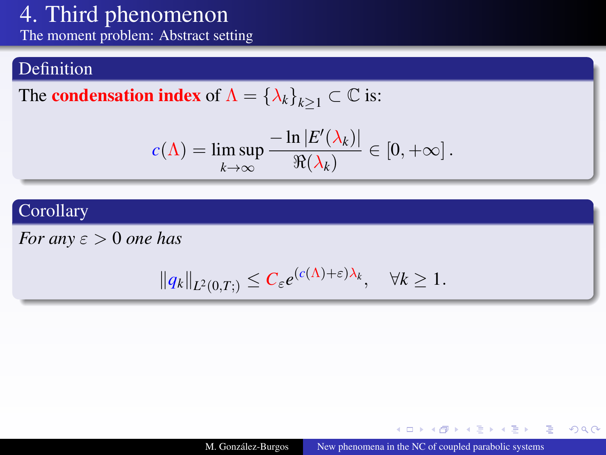The moment problem: Abstract setting

### Definition

The **condensation index** of  $\Lambda = {\lambda_k}_{k>1} \subset \mathbb{C}$  is:

$$
c(\Lambda) = \limsup_{k \to \infty} \frac{-\ln |E'(\lambda_k)|}{\Re(\lambda_k)} \in [0, +\infty].
$$

### Corollary

*For any*  $\varepsilon > 0$  *one has* 

$$
||q_k||_{L^2(0,T)} \leq C_{\varepsilon} e^{(c(\Lambda) + \varepsilon)\lambda_k}, \quad \forall k \geq 1.
$$

イロトス 伊 トス ミトス 手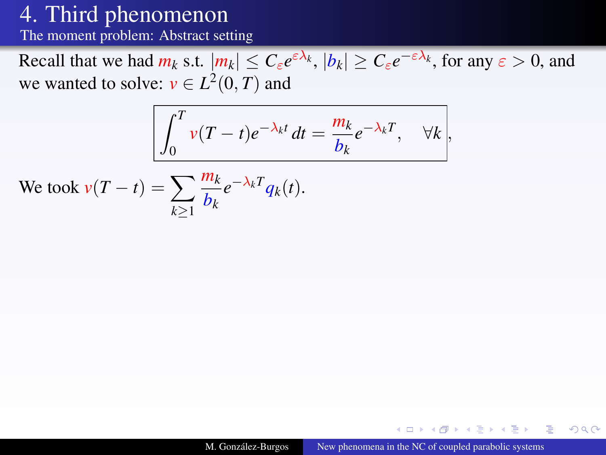The moment problem: Abstract setting

Recall that we had  $m_k$  s.t.  $|m_k| \leq C_{\varepsilon} e^{\varepsilon \lambda_k}$ ,  $|b_k| \geq C_{\varepsilon} e^{-\varepsilon \lambda_k}$ , for any  $\varepsilon > 0$ , and we wanted to solve:  $v \in L^2(0, T)$  and

$$
\int_0^T v(T-t)e^{-\lambda_k t} dt = \frac{m_k}{b_k}e^{-\lambda_k T}, \quad \forall k,
$$

We took 
$$
v(T - t) = \sum_{k \ge 1} \frac{m_k}{b_k} e^{-\lambda_k T} q_k(t)
$$
.

4 17 18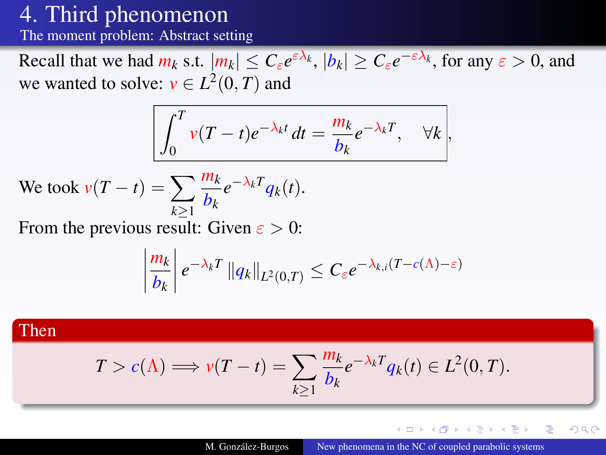The moment problem: Abstract setting

Recall that we had  $m_k$  s.t.  $|m_k| \leq C_{\varepsilon} e^{\varepsilon \lambda_k}$ ,  $|b_k| \geq C_{\varepsilon} e^{-\varepsilon \lambda_k}$ , for any  $\varepsilon > 0$ , and we wanted to solve:  $v \in L^2(0, T)$  and

$$
\int_0^T v(T-t)e^{-\lambda_k t} dt = \frac{m_k}{b_k}e^{-\lambda_k T}, \quad \forall k,
$$

We took 
$$
v(T - t) = \sum_{k \ge 1} \frac{m_k}{b_k} e^{-\lambda_k T} q_k(t)
$$
.

From the previous result: Given  $\varepsilon > 0$ :

$$
\left|\frac{m_k}{b_k}\right|e^{-\lambda_k T}\left\|q_k\right\|_{L^2(0,T)} \leq C_\varepsilon e^{-\lambda_{k,i}(T-c(\Lambda)-\varepsilon)}
$$

### Then

$$
T > c(\Lambda) \Longrightarrow v(T - t) = \sum_{k \ge 1} \frac{m_k}{b_k} e^{-\lambda_k T} q_k(t) \in L^2(0, T).
$$

4 17 18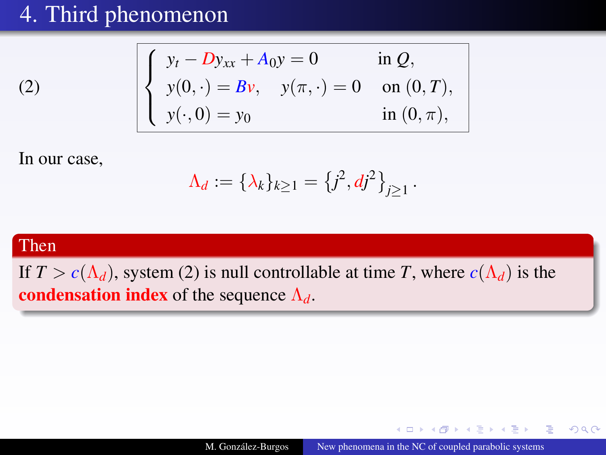$$
\begin{cases}\ny_t - Dy_{xx} + A_0 y = 0 & \text{in } Q, \\
y(0, \cdot) = Bv, \quad y(\pi, \cdot) = 0 & \text{on } (0, T), \\
y(\cdot, 0) = y_0 & \text{in } (0, \pi),\n\end{cases}
$$

In our case,

$$
\Lambda_d := \{\lambda_k\}_{k \geq 1} = \{j^2, dj^2\}_{j \geq 1}.
$$

### Then

[\(2\)](#page-4-2)

If  $T > c(\Lambda_d)$ , system [\(2\)](#page-4-2) is null controllable at time *T*, where  $c(\Lambda_d)$  is the condensation index of the sequence  $\Lambda_d$ .

4 17 18

 $\lambda$  =  $\lambda$ 

 $2Q$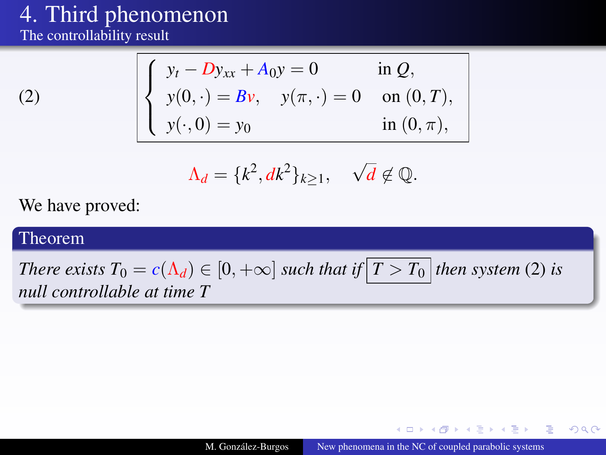The controllability result

$$
\left( 2\right)
$$

$$
\begin{cases}\ny_t - Dy_{xx} + A_0 y = 0 & \text{in } Q, \\
y(0, \cdot) = Bv, \quad y(\pi, \cdot) = 0 & \text{on } (0, T), \\
y(\cdot, 0) = y_0 & \text{in } (0, \pi),\n\end{cases}
$$

$$
\Lambda_d = \{k^2, dk^2\}_{k \ge 1}, \quad \sqrt{d} \notin \mathbb{Q}.
$$

We have proved:

#### Theorem

*There exists*  $T_0 = c(\Lambda_d) \in [0, +\infty]$  *such that if*  $\boxed{T > T_0}$  *then system* [\(2\)](#page-4-2) *is null controllable at time T*

4 17 18 有

**NATION** 

 $2Q$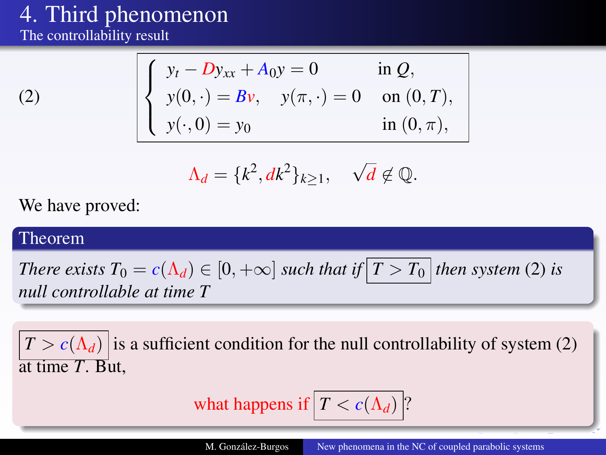The controllability result

$$
\left( 2\right)
$$

$$
\begin{cases}\ny_t - Dy_{xx} + A_0 y = 0 & \text{in } Q, \\
y(0, \cdot) = Bv, \quad y(\pi, \cdot) = 0 & \text{on } (0, T), \\
y(\cdot, 0) = y_0 & \text{in } (0, \pi),\n\end{cases}
$$

$$
\Lambda_d = \{k^2, dk^2\}_{k \ge 1}, \quad \sqrt{d} \notin \mathbb{Q}.
$$

We have proved:

#### Theorem

*There exists*  $T_0 = c(\Lambda_d) \in [0, +\infty]$  *such that if*  $T > T_0$  *then system* [\(2\)](#page-4-2) *is null controllable at time T*

 $|T > c(\Lambda_d)|$  is a sufficient condition for the null controllability of system [\(2\)](#page-4-2) at time *T*. But,

what happens if 
$$
|T < c(\Lambda_d)|
$$
?

M. González-Burgos [New phenomena in the NC of coupled parabolic systems](#page-0-0)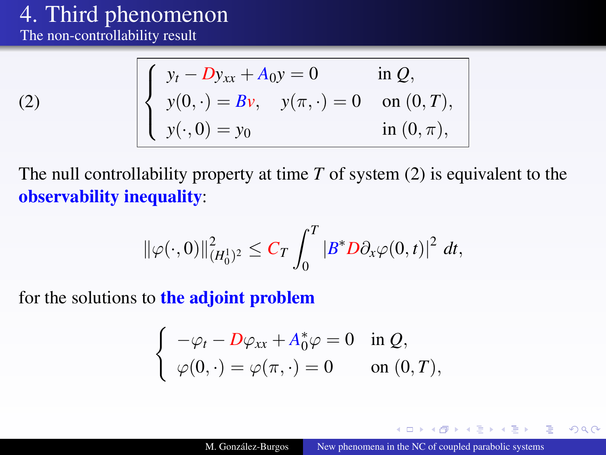The non-controllability result

$$
(2)
$$

$$
\begin{cases}\ny_t - Dy_{xx} + A_0 y = 0 & \text{in } Q, \\
y(0, \cdot) = Bv, \quad y(\pi, \cdot) = 0 & \text{on } (0, T), \\
y(\cdot, 0) = y_0 & \text{in } (0, \pi),\n\end{cases}
$$

The null controllability property at time *T* of system [\(2\)](#page-4-2) is equivalent to the observability inequality:

$$
\|\varphi(\cdot,0)\|_{(H_0^1)^2}^2 \leq C_T \int_0^T |B^*D\partial_x\varphi(0,t)|^2 dt,
$$

for the solutions to the adjoint problem

$$
\begin{cases}\n-\varphi_t - D\varphi_{xx} + A_0^*\varphi = 0 & \text{in } Q, \\
\varphi(0, \cdot) = \varphi(\pi, \cdot) = 0 & \text{on } (0, T),\n\end{cases}
$$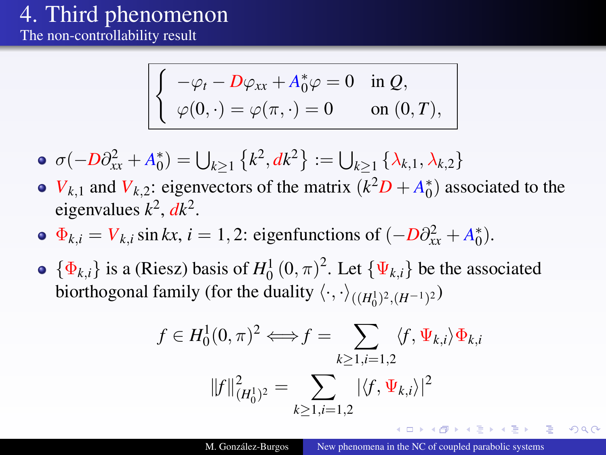The non-controllability result

$$
\begin{cases}\n-\varphi_t - D\varphi_{xx} + A_0^* \varphi = 0 & \text{in } Q, \\
\varphi(0, \cdot) = \varphi(\pi, \cdot) = 0 & \text{on } (0, T),\n\end{cases}
$$

• 
$$
\sigma(-D\partial_{xx}^2 + A_0^*) = \bigcup_{k \ge 1} \{k^2, dk^2\} := \bigcup_{k \ge 1} \{\lambda_{k,1}, \lambda_{k,2}\}
$$

- *V*<sub>*k*</sub>,1 and *V*<sub>*k*</sub>,2: eigenvectors of the matrix  $(k^2D + A_0^*)$  associated to the eigenvalues  $k^2$ ,  $dk^2$ .
- $\Phi_{k,i} = V_{k,i} \sin kx, i = 1, 2$ : eigenfunctions of  $(-D\partial_{xx}^2 + A_0^*)$ .
- $\{\Phi_{k,i}\}\$ is a (Riesz) basis of  $H_0^1(0,\pi)^2$ . Let  $\{\Psi_{k,i}\}\$ be the associated biorthogonal family (for the duality  $\langle \cdot, \cdot \rangle_{((H_0^1)^2, (H^{-1})^2})$

$$
f \in H_0^1(0, \pi)^2 \Longleftrightarrow f = \sum_{k \ge 1, i=1,2} \langle f, \Psi_{k,i} \rangle \Phi_{k,i}
$$

$$
||f||_{(H_0^1)^2}^2 = \sum_{k \ge 1, i=1,2} |\langle f, \Psi_{k,i} \rangle|^2
$$

 $2Q$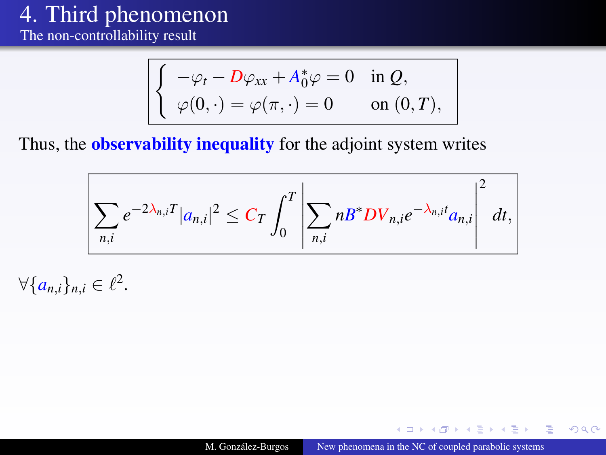The non-controllability result

$$
\begin{cases}\n-\varphi_t - D\varphi_{xx} + A_0^* \varphi = 0 & \text{in } Q, \\
\varphi(0, \cdot) = \varphi(\pi, \cdot) = 0 & \text{on } (0, T),\n\end{cases}
$$

Thus, the **observability inequality** for the adjoint system writes

$$
\sum_{n,i}e^{-2\lambda_{n,i}T}|a_{n,i}|^2\leq C_T\int_0^T\left|\sum_{n,i}nB^*DV_{n,i}e^{-\lambda_{n,i}t}a_{n,i}\right|^2dt,
$$

 $\forall \{\mathbf{a}_{n,i}\}_{n,i} \in \ell^2.$ 

 $4.171.6$ 

**TELE** 

つへへ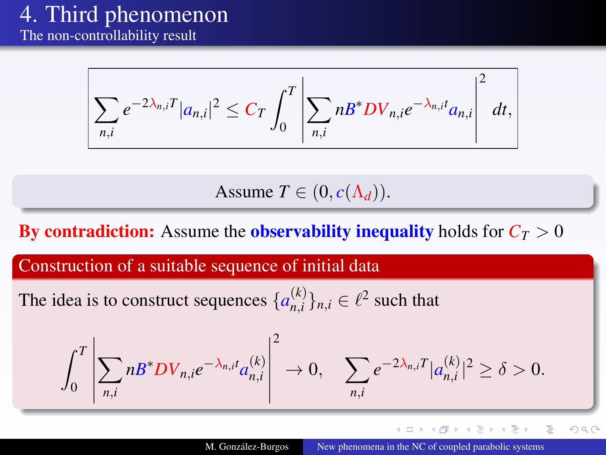The non-controllability result

$$
\sum_{n,i}e^{-2\lambda_{n,i}T}|a_{n,i}|^2\leq C_T\int_0^T\left|\sum_{n,i}nB^*DV_{n,i}e^{-\lambda_{n,i}t}a_{n,i}\right|^2dt,
$$

Assume  $T \in (0, c(\Lambda_d)).$ 

By contradiction: Assume the observability inequality holds for  $C_T > 0$ 

Construction of a suitable sequence of initial data

The idea is to construct sequences  $\{a_{n,i}^{(k)}\}$  ${k \choose n,i}_{n,i}$ ,  $i \in \ell^2$  such that

$$
\int_0^T \left| \sum_{n,i} n B^* D V_{n,i} e^{-\lambda_{n,i} t} a_{n,i}^{(k)} \right|^2 \to 0, \quad \sum_{n,i} e^{-2\lambda_{n,i} T} |a_{n,i}^{(k)}|^2 \ge \delta > 0.
$$

イロト (何) イヨト (ヨ)

 $2Q$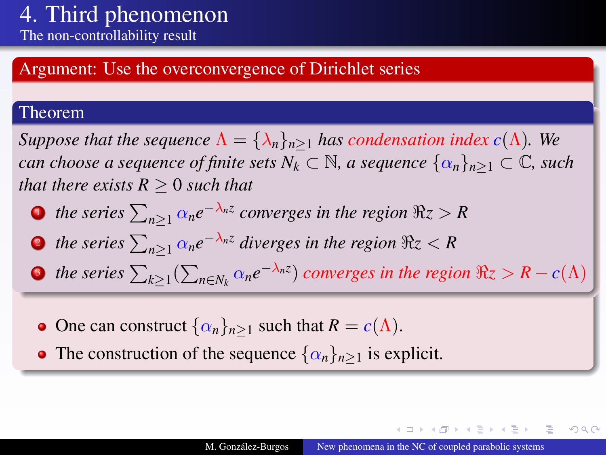### Argument: Use the overconvergence of Dirichlet series

#### Theorem

*Suppose that the sequence*  $\Lambda = {\lambda_n}_{n \geq 1}$  *has condensation index c*( $\Lambda$ ). We *can choose a sequence of finite sets*  $N_k \subset \mathbb{N}$ *, a sequence*  $\{\alpha_n\}_{n\geq 1} \subset \mathbb{C}$ *, such that there exists*  $R > 0$  *such that* 

- **1** the series  $\sum_{n\geq 1} \alpha_n e^{-\lambda_n z}$  converges in the region  $\Re z > R$
- **2** the series  $\sum_{n\geq 1} \alpha_n e^{-\lambda_n z}$  diverges in the region  $\Re z < R$
- **3** the series  $\sum_{k\geq 1} (\sum_{n\in N_k} \alpha_n e^{-\lambda_n z})$  converges in the region  $\Re z > R c(\Lambda)$
- **o** One can construct  $\{\alpha_n\}_{n>1}$  such that  $R = c(\Lambda)$ .
- The construction of the sequence  $\{\alpha_n\}_{n>1}$  is explicit.

イロト (何) イヨト (ヨ)

 $2Q$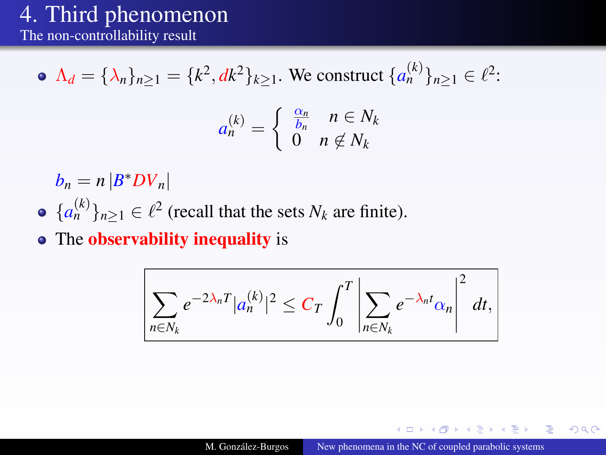The non-controllability result

• 
$$
\Lambda_d = {\lambda_n}_{n \ge 1} = {k^2, dk^2}_{k \ge 1}
$$
. We construct  ${a_n^{(k)}}_{n \ge 1} \in \ell^2$ :

$$
a_n^{(k)} = \begin{cases} \frac{\alpha_n}{b_n} & n \in N_k \\ 0 & n \notin N_k \end{cases}
$$

 $b_n = n |B^*DV_n|$ 

- ${a_n^{(k)}}_{n \geq 1} \in \ell^2$  (recall that the sets  $N_k$  are finite).
- The observability inequality is

$$
\sum_{n\in N_k}e^{-2\lambda_nT}|a_n^{(k)}|^2\leq C_T\int_0^T\left|\sum_{n\in N_k}e^{-\lambda_n t}\alpha_n\right|^2 dt,
$$

4 17 18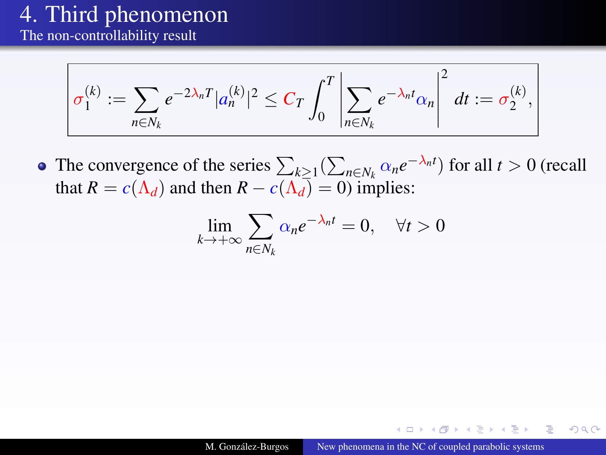The non-controllability result

$$
\sigma_1^{(k)} := \sum_{n \in N_k} e^{-2\lambda_n T} |a_n^{(k)}|^2 \leq C_T \int_0^T \left| \sum_{n \in N_k} e^{-\lambda_n t} \alpha_n \right|^2 dt := \sigma_2^{(k)},
$$

The convergence of the series  $\sum_{k\geq 1} (\sum_{n\in N_k} \alpha_n e^{-\lambda_n t})$  for all  $t > 0$  (recall that  $R = c(\Lambda_d)$  and then  $R - c(\Lambda_d) = 0$ ) implies:

$$
\lim_{k \to +\infty} \sum_{n \in N_k} \alpha_n e^{-\lambda_n t} = 0, \quad \forall t > 0
$$

**ALCOHOL:**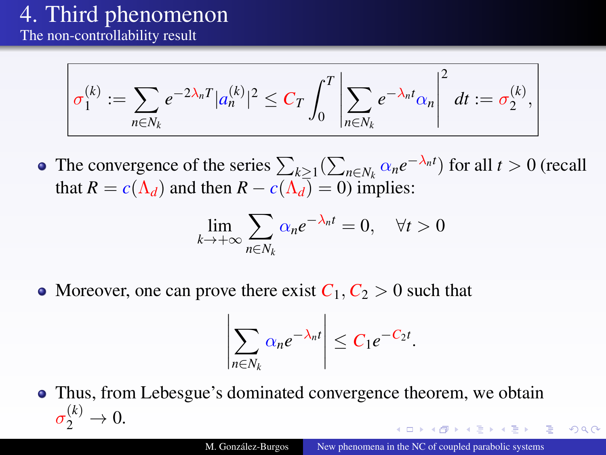The non-controllability result

$$
\sigma_1^{(k)} := \sum_{n \in N_k} e^{-2\lambda_n T} |a_n^{(k)}|^2 \leq C_T \int_0^T \left| \sum_{n \in N_k} e^{-\lambda_n t} \alpha_n \right|^2 dt := \sigma_2^{(k)},
$$

The convergence of the series  $\sum_{k\geq 1} (\sum_{n\in N_k} \alpha_n e^{-\lambda_n t})$  for all  $t > 0$  (recall that  $R = c(\Lambda_d)$  and then  $R - c(\Lambda_d) = 0$ ) implies:

$$
\lim_{k \to +\infty} \sum_{n \in N_k} \alpha_n e^{-\lambda_n t} = 0, \quad \forall t > 0
$$

• Moreover, one can prove there exist  $C_1, C_2 > 0$  such that

 $\overline{\phantom{a}}$ I  $\overline{\phantom{a}}$  $\overline{\phantom{a}}$  $\overline{\phantom{a}}$ 

$$
\left|\sum_{n\in N_k}\alpha_ne^{-\lambda_nt}\right|\leq C_1e^{-C_2t}.
$$

Thus, from Lebesgue's dominated convergence theorem, we obtain  $\sigma_2^{(k)} \to 0.$ 

 $\Omega$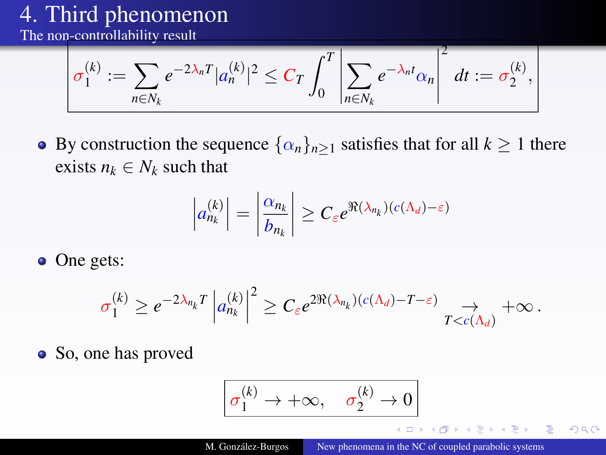The non-controllability result

$$
\sigma_1^{(k)} := \sum_{n \in N_k} e^{-2\lambda_n T} |a_n^{(k)}|^2 \leq C_T \int_0^T \left| \sum_{n \in N_k} e^{-\lambda_n t} \alpha_n \right|^2 dt := \sigma_2^{(k)},
$$

• By construction the sequence  $\{\alpha_n\}_{n>1}$  satisfies that for all  $k \ge 1$  there exists  $n_k \in N_k$  such that

$$
\left| a_{n_k}^{(k)} \right| = \left| \frac{\alpha_{n_k}}{b_{n_k}} \right| \geq C_{\varepsilon} e^{\Re(\lambda_{n_k}) (c(\Lambda_d) - \varepsilon)}
$$

• One gets:

$$
\sigma_1^{(k)} \geq e^{-2\lambda_{n_k}T}\left|a_{n_k}^{(k)}\right|^2 \geq C_\varepsilon e^{2\Re(\lambda_{n_k})(c(\Lambda_d)-T-\varepsilon)}\underset{T
$$

• So, one has proved

$$
\sigma_1^{(k)} \to +\infty, \quad \sigma_2^{(k)} \to 0
$$

 $\sim$  m.

 $2Q$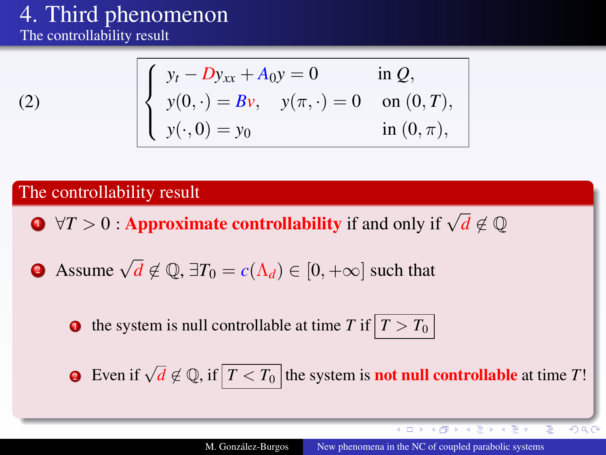The controllability result

$$
(2)
$$

$$
\begin{cases}\ny_t - Dy_{xx} + A_0 y = 0 & \text{in } Q, \\
y(0, \cdot) = Bv, \quad y(\pi, \cdot) = 0 & \text{on } (0, T), \\
y(\cdot, 0) = y_0 & \text{in } (0, \pi),\n\end{cases}
$$

### The controllability result

**1**  $\forall T > 0$  : Approximate controllability if and only if  $\sqrt{d} \notin \mathbb{Q}$ 

**2** Assume  $\sqrt{d} \notin \mathbb{Q}$ ,  $\exists T_0 = c(\Lambda_d) \in [0, +\infty]$  such that

the system is null controllable at time *T* if  $|T > T_0|$ 

**2** Even if  $\sqrt{d} \notin \mathbb{Q}$ , if  $\boxed{T \leq T_0}$  the system is **not null controllable** at time *T*!

**≮ロト ⊀伊ト ⊀ ヨト ⊀ ヨト** 

 $200$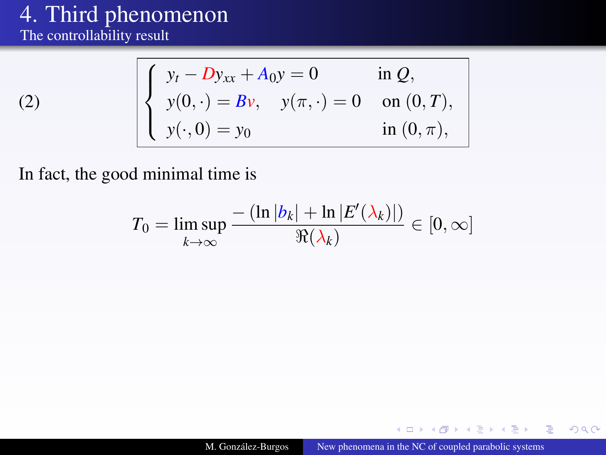### [4.](#page-29-1) Third phenomenon The controllability result

[\(2\)](#page-4-2)

$$
\begin{cases}\ny_t - Dy_{xx} + A_0y = 0 & \text{in } Q, \\
y(0, \cdot) = Bv, \quad y(\pi, \cdot) = 0 & \text{on } (0, T), \\
y(\cdot, 0) = y_0 & \text{in } (0, \pi),\n\end{cases}
$$

In fact, the good minimal time is

$$
T_0 = \limsup_{k \to \infty} \frac{-\left(\ln |b_k| + \ln |E'(\lambda_k)|\right)}{\Re(\lambda_k)} \in [0, \infty]
$$

 $\leftarrow$   $\Box$ × 有 医间面的  $2Q$ 

∍

-4- 三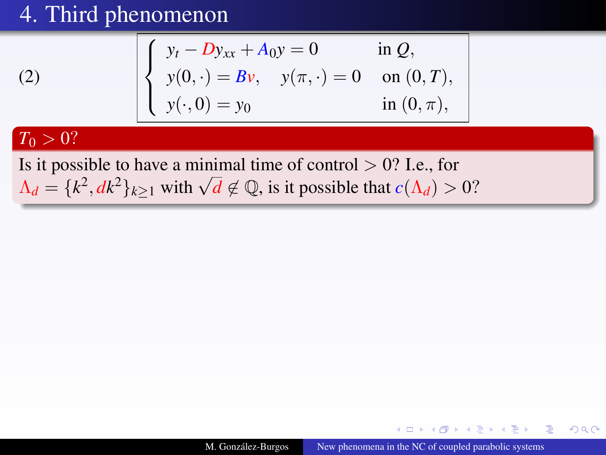$$
\begin{cases}\ny_t - Dy_{xx} + A_0 y = 0 & \text{in } Q, \\
y(0, \cdot) = Bv, \quad y(\pi, \cdot) = 0 & \text{on } (0, T), \\
y(\cdot, 0) = y_0 & \text{in } (0, \pi),\n\end{cases}
$$

### $T_0 > 0?$

[\(2\)](#page-4-2)

Is it possible to have a minimal time of control  $> 0$ ? I.e., for **A**<sub>*d*</sub> = { $k^2$ ,  $dk^2$ }<sub> $k \ge 1$ </sub> with  $\sqrt{d} \notin \mathbb{Q}$ , is it possible that  $c(\Lambda_d) > 0$ ?

 $2Q$ 

 $\lambda$  =  $\lambda$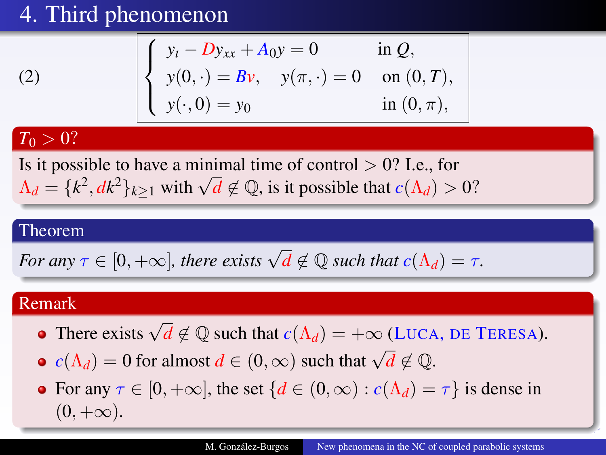$$
\begin{cases}\ny_t - Dy_{xx} + A_0 y = 0 & \text{in } Q, \\
y(0, \cdot) = Bv, \quad y(\pi, \cdot) = 0 & \text{on } (0, T), \\
y(\cdot, 0) = y_0 & \text{in } (0, \pi),\n\end{cases}
$$

### $T_0 > 0?$

[\(2\)](#page-4-2)

Is it possible to have a minimal time of control  $> 0$ ? I.e., for **A**<sub>*d*</sub> = { $k^2$ ,  $dk^2$ }<sub> $k \ge 1$ </sub> with  $\sqrt{d} \notin \mathbb{Q}$ , is it possible that  $c(\Lambda_d) > 0$ ?

#### Theorem

For any 
$$
\tau \in [0, +\infty]
$$
, there exists  $\sqrt{d} \notin \mathbb{Q}$  such that  $c(\Lambda_d) = \tau$ .

### Remark

- There exists  $\sqrt{d} \notin \mathbb{Q}$  such that  $c(\Lambda_d) = +\infty$  (LUCA, DE TERESA).
- *c*( $\Lambda_d$ ) = 0 for almost *d* ∈ (0, ∞) such that  $\sqrt{d} \notin \mathbb{Q}$ .
- For any  $\tau \in [0, +\infty]$ , the set  $\{d \in (0, \infty) : c(\Lambda_d) = \tau\}$  is dense in  $(0, +\infty).$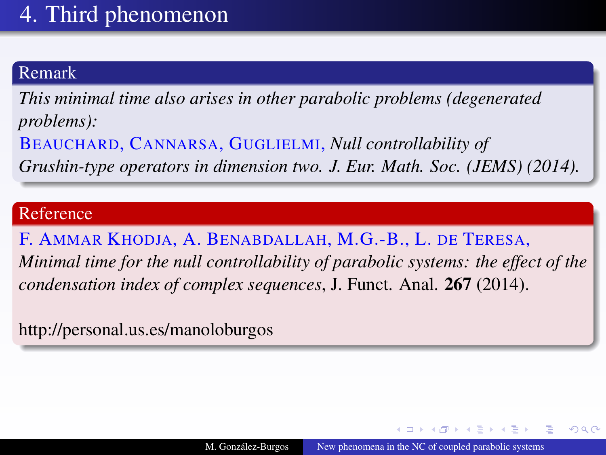### Remark

*This minimal time also arises in other parabolic problems (degenerated problems):*

BEAUCHARD, CANNARSA, GUGLIELMI, *Null controllability of Grushin-type operators in dimension two. J. Eur. Math. Soc. (JEMS) (2014).*

#### Reference

F. AMMAR KHODJA, A. BENABDALLAH, M.G.-B., L. DE TERESA, *Minimal time for the null controllability of parabolic systems: the effect of the condensation index of complex sequences*, J. Funct. Anal. 267 (2014).

http://personal.us.es/manoloburgos

A + + = + + =

 $2Q$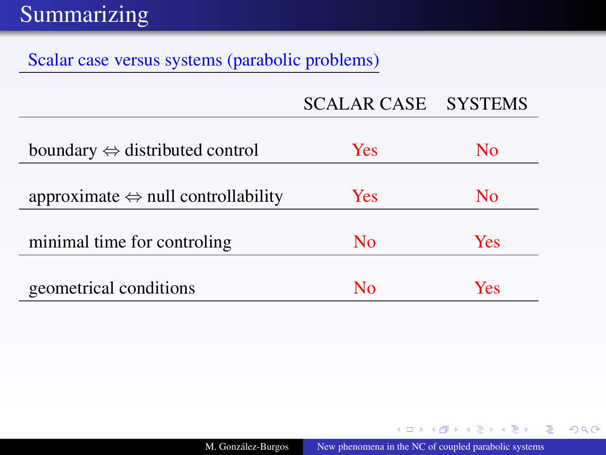### Scalar case versus systems (parabolic problems)

| <b>SCALAR CASE</b> | <b>SYSTEMS</b> |
|--------------------|----------------|
|                    |                |

| boundary $\Leftrightarrow$ distributed control     | Yes | No  |
|----------------------------------------------------|-----|-----|
|                                                    |     |     |
| approximate $\Leftrightarrow$ null controllability | Yes | No. |
|                                                    |     |     |
| minimal time for controling                        | No  | Yes |
|                                                    |     |     |
| geometrical conditions                             | Nο  | Yes |

イロト (何) イヨト (ヨ)

目

 $299$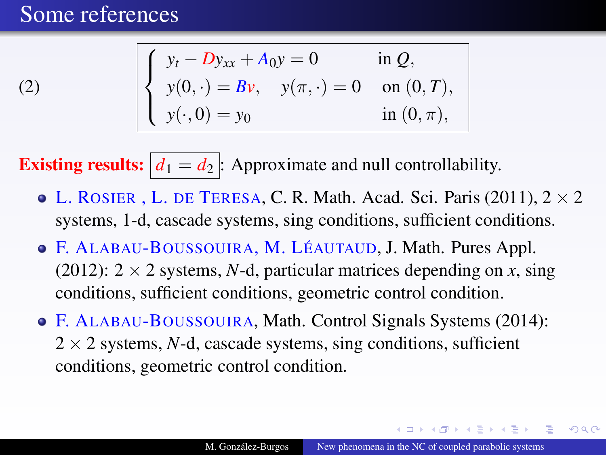### Some references

[\(2\)](#page-4-2)

$$
\begin{cases}\ny_t - Dy_{xx} + A_0 y = 0 & \text{in } Q, \\
y(0, \cdot) = Bv, \quad y(\pi, \cdot) = 0 & \text{on } (0, T), \\
y(\cdot, 0) = y_0 & \text{in } (0, \pi),\n\end{cases}
$$

**Existing results:**  $d_1 = d_2$  : Approximate and null controllability.

- $\bullet$  L. ROSIER, L. DE TERESA, C. R. Math. Acad. Sci. Paris (2011),  $2 \times 2$ systems, 1-d, cascade systems, sing conditions, sufficient conditions.
- F. ALABAU-BOUSSOUIRA, M. LÉAUTAUD, J. Math. Pures Appl. (2012):  $2 \times 2$  systems, *N*-d, particular matrices depending on *x*, sing conditions, sufficient conditions, geometric control condition.
- F. ALABAU-BOUSSOUIRA, Math. Control Signals Systems (2014):  $2 \times 2$  systems, *N*-d, cascade systems, sing conditions, sufficient conditions, geometric control condition.

つくい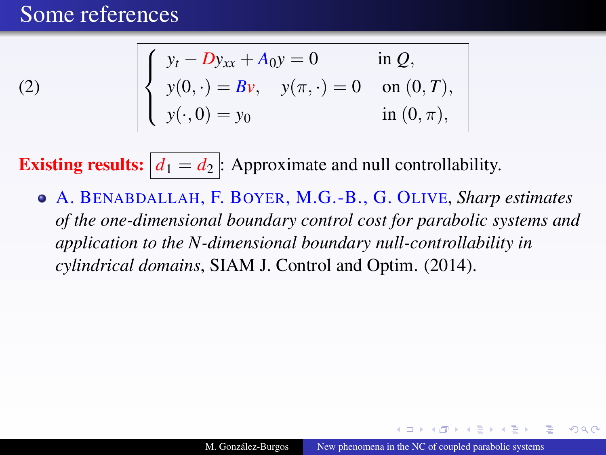### Some references

[\(2\)](#page-4-2)

$$
\begin{cases}\ny_t - Dy_{xx} + A_0 y = 0 & \text{in } Q, \\
y(0, \cdot) = Bv, \quad y(\pi, \cdot) = 0 & \text{on } (0, T), \\
y(\cdot, 0) = y_0 & \text{in } (0, \pi),\n\end{cases}
$$

**Existing results:**  $d_1 = d_2$  : Approximate and null controllability.

A. BENABDALLAH, F. BOYER, M.G.-B., G. OLIVE, *Sharp estimates of the one-dimensional boundary control cost for parabolic systems and application to the N-dimensional boundary null-controllability in cylindrical domains*, SIAM J. Control and Optim. (2014).

つくい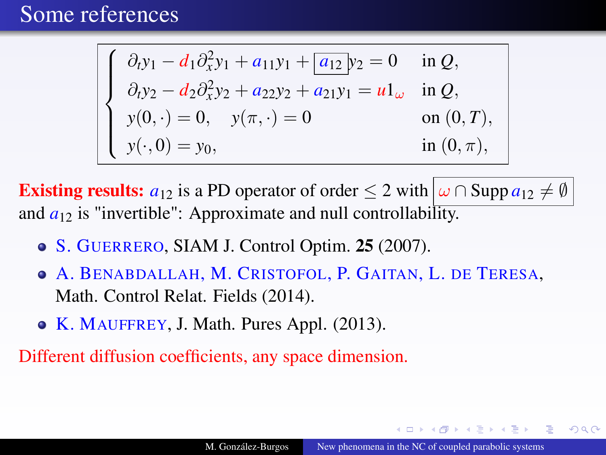### Some references

$$
\begin{cases}\n\partial_t y_1 - d_1 \partial_x^2 y_1 + a_{11} y_1 + a_{12} y_2 = 0 & \text{in } Q, \\
\partial_t y_2 - d_2 \partial_x^2 y_2 + a_{22} y_2 + a_{21} y_1 = u \mathbf{1}_{\omega} & \text{in } Q, \\
y(0, \cdot) = 0, \quad y(\pi, \cdot) = 0 & \text{on } (0, T), \\
y(\cdot, 0) = y_0, & \text{in } (0, \pi),\n\end{cases}
$$

**Existing results:**  $a_{12}$  is a PD operator of order  $\leq 2$  with  $\omega \cap \text{Supp } a_{12} \neq \emptyset$ and  $a_{12}$  is "invertible": Approximate and null controllability.

- S. GUERRERO, SIAM J. Control Optim. 25 (2007).
- A. BENABDALLAH, M. CRISTOFOL, P. GAITAN, L. DE TERESA, Math. Control Relat. Fields (2014).
- K. MAUFFREY, J. Math. Pures Appl. (2013).

Different diffusion coefficients, any space dimension.

 $\Omega$